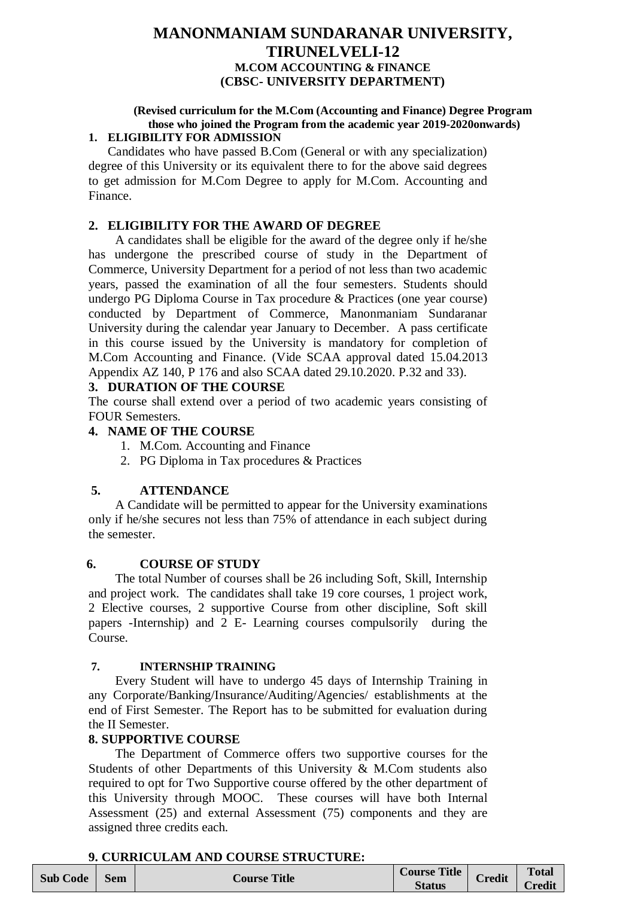# **MANONMANIAM SUNDARANAR UNIVERSITY, TIRUNELVELI-12 M.COM ACCOUNTING & FINANCE (CBSC- UNIVERSITY DEPARTMENT)**

#### **(Revised curriculum for the M.Com (Accounting and Finance) Degree Program those who joined the Program from the academic year 2019-2020onwards) 1. ELIGIBILITY FOR ADMISSION**

# Candidates who have passed B.Com (General or with any specialization) degree of this University or its equivalent there to for the above said degrees

to get admission for M.Com Degree to apply for M.Com. Accounting and Finance.

# **2. ELIGIBILITY FOR THE AWARD OF DEGREE**

A candidates shall be eligible for the award of the degree only if he/she has undergone the prescribed course of study in the Department of Commerce, University Department for a period of not less than two academic years, passed the examination of all the four semesters. Students should undergo PG Diploma Course in Tax procedure & Practices (one year course) conducted by Department of Commerce, Manonmaniam Sundaranar University during the calendar year January to December. A pass certificate in this course issued by the University is mandatory for completion of M.Com Accounting and Finance. (Vide SCAA approval dated 15.04.2013 Appendix AZ 140, P 176 and also SCAA dated 29.10.2020. P.32 and 33).

# **3. DURATION OF THE COURSE**

The course shall extend over a period of two academic years consisting of FOUR Semesters.

# **4. NAME OF THE COURSE**

- 1. M.Com. Accounting and Finance
- 2. PG Diploma in Tax procedures & Practices

# **5. ATTENDANCE**

A Candidate will be permitted to appear for the University examinations only if he/she secures not less than 75% of attendance in each subject during the semester.

# **6. COURSE OF STUDY**

The total Number of courses shall be 26 including Soft, Skill, Internship and project work. The candidates shall take 19 core courses, 1 project work, 2 Elective courses, 2 supportive Course from other discipline, Soft skill papers -Internship) and 2 E- Learning courses compulsorily during the Course.

# **7. INTERNSHIP TRAINING**

Every Student will have to undergo 45 days of Internship Training in any Corporate/Banking/Insurance/Auditing/Agencies/ establishments at the end of First Semester. The Report has to be submitted for evaluation during the II Semester.

# **8. SUPPORTIVE COURSE**

The Department of Commerce offers two supportive courses for the Students of other Departments of this University & M.Com students also required to opt for Two Supportive course offered by the other department of this University through MOOC. These courses will have both Internal Assessment (25) and external Assessment (75) components and they are assigned three credits each.

# **9. CURRICULAM AND COURSE STRUCTURE:**

| <b>Sub Code</b> | <b>Sem</b> | <b>Title</b><br>Course ' | <b>Course Title</b><br><b>Status</b> | <b>Credit</b> | <b>Total</b><br>$\Gamma$ radit<br>леан |
|-----------------|------------|--------------------------|--------------------------------------|---------------|----------------------------------------|
|-----------------|------------|--------------------------|--------------------------------------|---------------|----------------------------------------|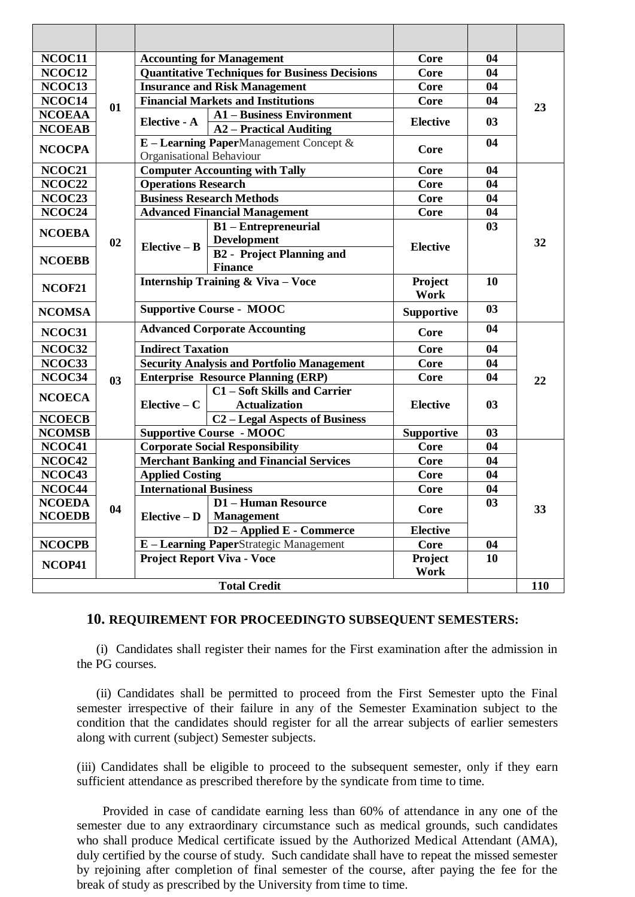| NCOC11              |                |                                              | <b>Accounting for Management</b>                      | Core              | 04 |     |  |
|---------------------|----------------|----------------------------------------------|-------------------------------------------------------|-------------------|----|-----|--|
| NCOC12              |                |                                              | <b>Quantitative Techniques for Business Decisions</b> | <b>Core</b>       | 04 |     |  |
| NCOC13              |                |                                              | <b>Insurance and Risk Management</b>                  | <b>Core</b>       | 04 |     |  |
| NCOC14              |                |                                              | <b>Financial Markets and Institutions</b>             | <b>Core</b>       | 04 |     |  |
| <b>NCOEAA</b>       | 01             |                                              | <b>A1-Business Environment</b>                        |                   |    | 23  |  |
| <b>NCOEAB</b>       |                | Elective - A                                 | <b>A2</b> – Practical Auditing                        | <b>Elective</b>   | 03 |     |  |
|                     |                | $E$ – Learning PaperManagement Concept $\&$  |                                                       | Core              | 04 |     |  |
| <b>NCOCPA</b>       |                | Organisational Behaviour                     |                                                       |                   |    |     |  |
| NCOC21              |                |                                              | <b>Computer Accounting with Tally</b>                 | Core              | 04 |     |  |
| NCOC22              |                | <b>Operations Research</b>                   |                                                       | <b>Core</b>       | 04 |     |  |
| NCOC23              |                |                                              | <b>Business Research Methods</b>                      | <b>Core</b>       | 04 |     |  |
| NCOC24              |                |                                              | <b>Advanced Financial Management</b>                  | <b>Core</b>       | 04 |     |  |
| <b>NCOEBA</b>       |                |                                              | <b>B1-Entrepreneurial</b>                             |                   | 03 | 32  |  |
|                     | 02             | $Elective - B$                               | <b>Development</b>                                    | <b>Elective</b>   |    |     |  |
| <b>NCOEBB</b>       |                |                                              | <b>B2</b> - Project Planning and                      |                   |    |     |  |
|                     |                |                                              | <b>Finance</b>                                        |                   |    |     |  |
| NCOF21              |                | <b>Internship Training &amp; Viva - Voce</b> |                                                       | Project           | 10 |     |  |
|                     |                |                                              |                                                       | Work              |    |     |  |
| <b>NCOMSA</b>       |                |                                              | <b>Supportive Course - MOOC</b>                       | <b>Supportive</b> | 03 |     |  |
| NCOC31              |                |                                              | <b>Advanced Corporate Accounting</b>                  | Core              | 04 |     |  |
| NCOC32              |                | <b>Indirect Taxation</b>                     |                                                       | <b>Core</b>       | 04 |     |  |
| NCOC33              |                |                                              | <b>Security Analysis and Portfolio Management</b>     | <b>Core</b>       | 04 |     |  |
| NCOC34              | 0 <sub>3</sub> |                                              | <b>Enterprise Resource Planning (ERP)</b>             | Core              | 04 | 22  |  |
| <b>NCOECA</b>       |                |                                              | <b>C1-Soft Skills and Carrier</b>                     |                   | 03 |     |  |
|                     |                | Elective $-C$                                | <b>Actualization</b>                                  | <b>Elective</b>   |    |     |  |
| <b>NCOECB</b>       |                |                                              | <b>C2</b> - Legal Aspects of Business                 |                   |    |     |  |
| <b>NCOMSB</b>       |                |                                              | <b>Supportive Course - MOOC</b>                       | <b>Supportive</b> | 03 |     |  |
| NCOC41              |                |                                              | <b>Corporate Social Responsibility</b>                | <b>Core</b>       | 04 |     |  |
| NCOC42              |                |                                              | <b>Merchant Banking and Financial Services</b>        | <b>Core</b>       | 04 |     |  |
| NCOC43              |                | <b>Applied Costing</b>                       |                                                       | <b>Core</b>       | 04 |     |  |
| NCOC44              |                | <b>International Business</b>                |                                                       | Core              | 04 |     |  |
| <b>NCOEDA</b>       | 04             | $Elective - D$                               | <b>D1-Human Resource</b>                              | <b>Core</b>       | 03 | 33  |  |
| <b>NCOEDB</b>       |                |                                              | <b>Management</b>                                     |                   |    |     |  |
|                     |                | <b>D2-Applied E - Commerce</b>               |                                                       | <b>Elective</b>   |    |     |  |
| <b>NCOCPB</b>       |                |                                              | E - Learning PaperStrategic Management                | <b>Core</b>       | 04 |     |  |
| NCOP41              |                | <b>Project Report Viva - Voce</b>            |                                                       | <b>Project</b>    | 10 |     |  |
|                     |                |                                              |                                                       | Work              |    |     |  |
| <b>Total Credit</b> |                |                                              |                                                       |                   |    | 110 |  |

#### **10. REQUIREMENT FOR PROCEEDINGTO SUBSEQUENT SEMESTERS:**

 (i) Candidates shall register their names for the First examination after the admission in the PG courses.

 (ii) Candidates shall be permitted to proceed from the First Semester upto the Final semester irrespective of their failure in any of the Semester Examination subject to the condition that the candidates should register for all the arrear subjects of earlier semesters along with current (subject) Semester subjects.

(iii) Candidates shall be eligible to proceed to the subsequent semester, only if they earn sufficient attendance as prescribed therefore by the syndicate from time to time.

 Provided in case of candidate earning less than 60% of attendance in any one of the semester due to any extraordinary circumstance such as medical grounds, such candidates who shall produce Medical certificate issued by the Authorized Medical Attendant (AMA), duly certified by the course of study. Such candidate shall have to repeat the missed semester by rejoining after completion of final semester of the course, after paying the fee for the break of study as prescribed by the University from time to time.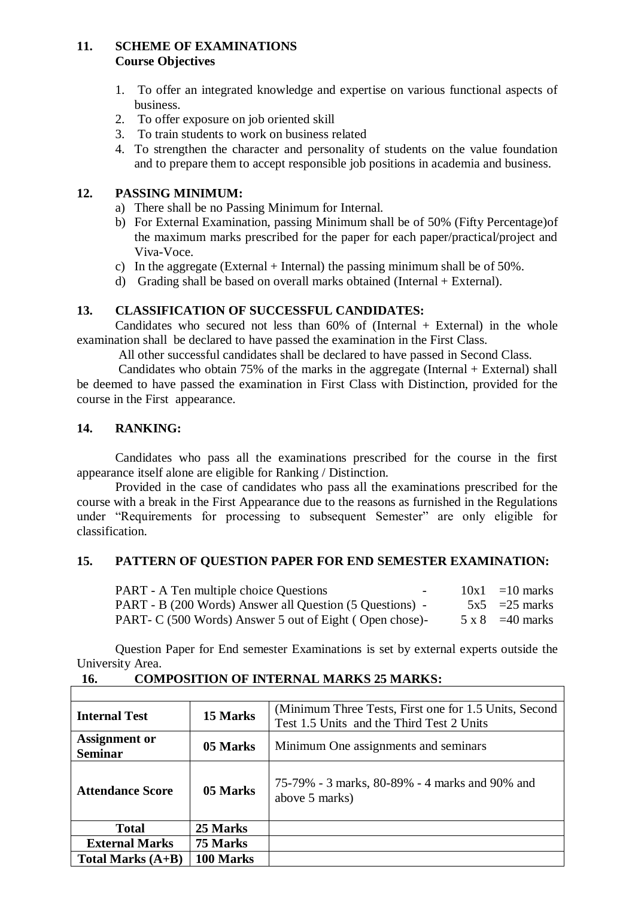## **11. SCHEME OF EXAMINATIONS Course Objectives**

- 1. To offer an integrated knowledge and expertise on various functional aspects of business.
- 2. To offer exposure on job oriented skill
- 3. To train students to work on business related
- 4. To strengthen the character and personality of students on the value foundation and to prepare them to accept responsible job positions in academia and business.

## **12. PASSING MINIMUM:**

- a) There shall be no Passing Minimum for Internal.
- b) For External Examination, passing Minimum shall be of 50% (Fifty Percentage)of the maximum marks prescribed for the paper for each paper/practical/project and Viva-Voce.
- c) In the aggregate (External + Internal) the passing minimum shall be of  $50\%$ .
- d) Grading shall be based on overall marks obtained (Internal + External).

## **13. CLASSIFICATION OF SUCCESSFUL CANDIDATES:**

Candidates who secured not less than  $60\%$  of (Internal + External) in the whole examination shall be declared to have passed the examination in the First Class.

All other successful candidates shall be declared to have passed in Second Class.

Candidates who obtain 75% of the marks in the aggregate (Internal + External) shall be deemed to have passed the examination in First Class with Distinction, provided for the course in the First appearance.

## **14. RANKING:**

Candidates who pass all the examinations prescribed for the course in the first appearance itself alone are eligible for Ranking / Distinction.

Provided in the case of candidates who pass all the examinations prescribed for the course with a break in the First Appearance due to the reasons as furnished in the Regulations under "Requirements for processing to subsequent Semester" are only eligible for classification.

#### **15. PATTERN OF QUESTION PAPER FOR END SEMESTER EXAMINATION:**

| <b>PART</b> - A Ten multiple choice Questions            | $ -$ | $10x1 = 10$ marks       |
|----------------------------------------------------------|------|-------------------------|
| PART - B (200 Words) Answer all Question (5 Questions) - |      | $5x5 = 25$ marks        |
| PART- C (500 Words) Answer 5 out of Eight (Open chose)-  |      | $5 \times 8 = 40$ marks |

Question Paper for End semester Examinations is set by external experts outside the University Area.

| <b>Internal Test</b>                   | 15 Marks  | (Minimum Three Tests, First one for 1.5 Units, Second<br>Test 1.5 Units and the Third Test 2 Units |
|----------------------------------------|-----------|----------------------------------------------------------------------------------------------------|
| <b>Assignment or</b><br><b>Seminar</b> | 05 Marks  | Minimum One assignments and seminars                                                               |
| <b>Attendance Score</b>                | 05 Marks  | 75-79% - 3 marks, 80-89% - 4 marks and 90% and<br>above 5 marks)                                   |
| <b>Total</b>                           | 25 Marks  |                                                                                                    |
| <b>External Marks</b>                  | 75 Marks  |                                                                                                    |
| Total Marks $(A+B)$                    | 100 Marks |                                                                                                    |

## **16. COMPOSITION OF INTERNAL MARKS 25 MARKS:**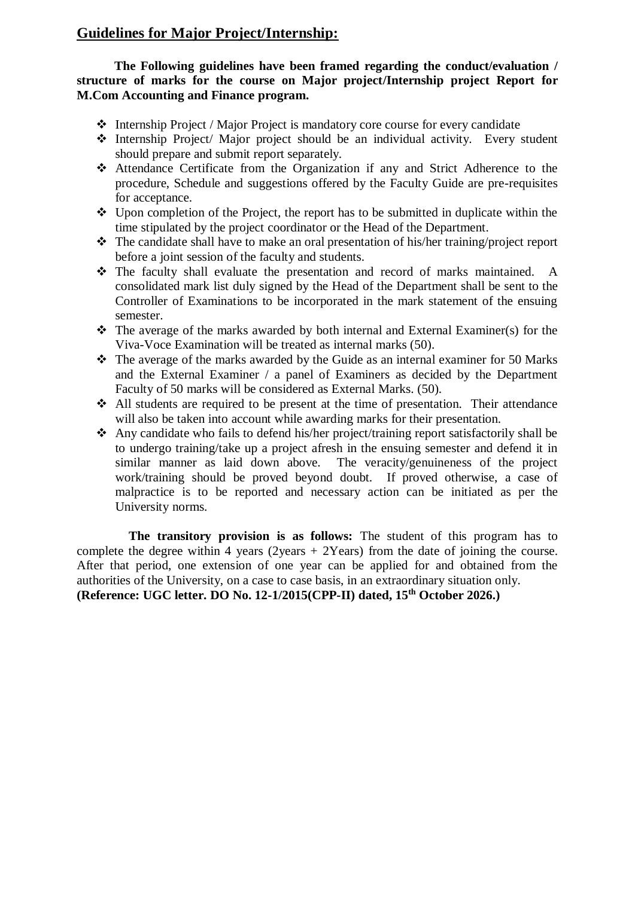# **Guidelines for Major Project/Internship:**

 **The Following guidelines have been framed regarding the conduct/evaluation / structure of marks for the course on Major project/Internship project Report for M.Com Accounting and Finance program.**

- Internship Project / Major Project is mandatory core course for every candidate
- Internship Project/ Major project should be an individual activity. Every student should prepare and submit report separately.
- Attendance Certificate from the Organization if any and Strict Adherence to the procedure, Schedule and suggestions offered by the Faculty Guide are pre-requisites for acceptance.
- $\triangleleft$  Upon completion of the Project, the report has to be submitted in duplicate within the time stipulated by the project coordinator or the Head of the Department.
- \* The candidate shall have to make an oral presentation of his/her training/project report before a joint session of the faculty and students.
- The faculty shall evaluate the presentation and record of marks maintained. A consolidated mark list duly signed by the Head of the Department shall be sent to the Controller of Examinations to be incorporated in the mark statement of the ensuing semester.
- $\triangle$  The average of the marks awarded by both internal and External Examiner(s) for the Viva-Voce Examination will be treated as internal marks (50).
- $\div$  The average of the marks awarded by the Guide as an internal examiner for 50 Marks and the External Examiner / a panel of Examiners as decided by the Department Faculty of 50 marks will be considered as External Marks. (50).
- All students are required to be present at the time of presentation. Their attendance will also be taken into account while awarding marks for their presentation.
- Any candidate who fails to defend his/her project/training report satisfactorily shall be to undergo training/take up a project afresh in the ensuing semester and defend it in similar manner as laid down above. The veracity/genuineness of the project work/training should be proved beyond doubt. If proved otherwise, a case of malpractice is to be reported and necessary action can be initiated as per the University norms.

**The transitory provision is as follows:** The student of this program has to complete the degree within 4 years  $(2$ years + 2Years) from the date of joining the course. After that period, one extension of one year can be applied for and obtained from the authorities of the University, on a case to case basis, in an extraordinary situation only. **(Reference: UGC letter. DO No. 12-1/2015(CPP-II) dated, 15th October 2026.)**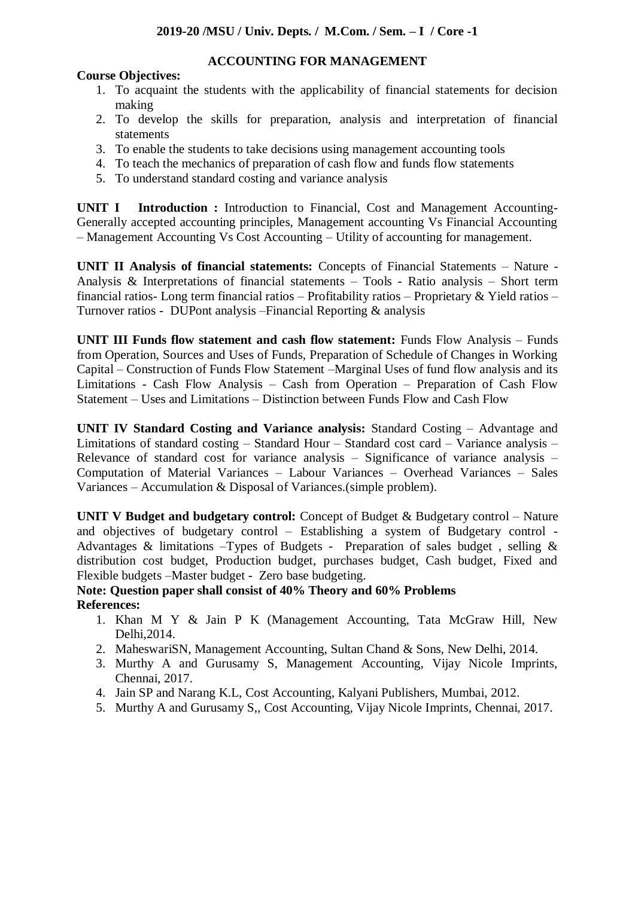**ACCOUNTING FOR MANAGEMENT**

# **Course Objectives:**

- 1. To acquaint the students with the applicability of financial statements for decision making
- 2. To develop the skills for preparation, analysis and interpretation of financial statements
- 3. To enable the students to take decisions using management accounting tools
- 4. To teach the mechanics of preparation of cash flow and funds flow statements
- 5. To understand standard costing and variance analysis

**UNIT I** Introduction : Introduction to Financial, Cost and Management Accounting-Generally accepted accounting principles, Management accounting Vs Financial Accounting – Management Accounting Vs Cost Accounting – Utility of accounting for management.

**UNIT II Analysis of financial statements:** Concepts of Financial Statements – Nature - Analysis & Interpretations of financial statements – Tools - Ratio analysis – Short term financial ratios- Long term financial ratios – Profitability ratios – Proprietary & Yield ratios – Turnover ratios - DUPont analysis –Financial Reporting & analysis

**UNIT III Funds flow statement and cash flow statement:** Funds Flow Analysis – Funds from Operation, Sources and Uses of Funds, Preparation of Schedule of Changes in Working Capital – Construction of Funds Flow Statement –Marginal Uses of fund flow analysis and its Limitations - Cash Flow Analysis – Cash from Operation – Preparation of Cash Flow Statement – Uses and Limitations – Distinction between Funds Flow and Cash Flow

**UNIT IV Standard Costing and Variance analysis:** Standard Costing – Advantage and Limitations of standard costing – Standard Hour – Standard cost card – Variance analysis – Relevance of standard cost for variance analysis – Significance of variance analysis – Computation of Material Variances – Labour Variances – Overhead Variances – Sales Variances – Accumulation & Disposal of Variances.(simple problem).

**UNIT V Budget and budgetary control:** Concept of Budget & Budgetary control – Nature and objectives of budgetary control – Establishing a system of Budgetary control - Advantages & limitations –Types of Budgets - Preparation of sales budget, selling  $\&$ distribution cost budget, Production budget, purchases budget, Cash budget, Fixed and Flexible budgets –Master budget - Zero base budgeting.

#### **Note: Question paper shall consist of 40% Theory and 60% Problems References:**

- 1. Khan M Y & Jain P K (Management Accounting, Tata McGraw Hill, New Delhi,2014.
- 2. MaheswariSN, Management Accounting, Sultan Chand & Sons, New Delhi, 2014.
- 3. Murthy A and Gurusamy S, Management Accounting, Vijay Nicole Imprints, Chennai, 2017.
- 4. Jain SP and Narang K.L, Cost Accounting, Kalyani Publishers, Mumbai, 2012.
- 5. Murthy A and Gurusamy S,, Cost Accounting, Vijay Nicole Imprints, Chennai, 2017.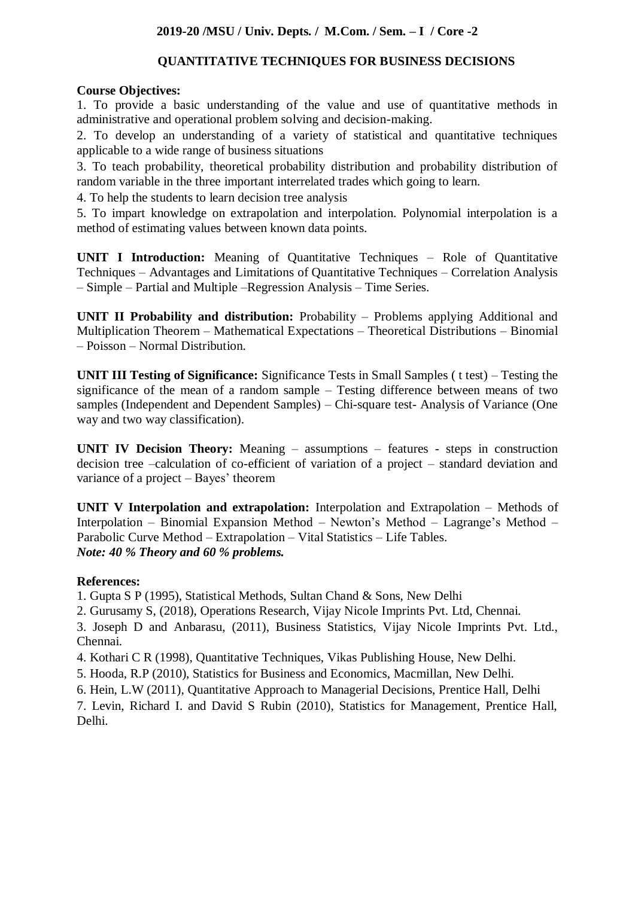## **2019-20 /MSU / Univ. Depts. / M.Com. / Sem. – I / Core -2**

#### **QUANTITATIVE TECHNIQUES FOR BUSINESS DECISIONS**

#### **Course Objectives:**

1. To provide a basic understanding of the value and use of quantitative methods in administrative and operational problem solving and decision-making.

2. To develop an understanding of a variety of statistical and quantitative techniques applicable to a wide range of business situations

3. To teach probability, theoretical probability distribution and probability distribution of random variable in the three important interrelated trades which going to learn.

4. To help the students to learn decision tree analysis

5. To impart knowledge on extrapolation and interpolation. Polynomial interpolation is a method of estimating values between known data points.

**UNIT I Introduction:** Meaning of Quantitative Techniques – Role of Quantitative Techniques – Advantages and Limitations of Quantitative Techniques – Correlation Analysis – Simple – Partial and Multiple –Regression Analysis – Time Series.

**UNIT II Probability and distribution:** Probability – Problems applying Additional and Multiplication Theorem – Mathematical Expectations – Theoretical Distributions – Binomial – Poisson – Normal Distribution.

**UNIT III Testing of Significance:** Significance Tests in Small Samples ( t test) – Testing the significance of the mean of a random sample – Testing difference between means of two samples (Independent and Dependent Samples) – Chi-square test- Analysis of Variance (One way and two way classification).

**UNIT IV Decision Theory:** Meaning – assumptions – features - steps in construction decision tree –calculation of co-efficient of variation of a project – standard deviation and variance of a project – Bayes' theorem

**UNIT V Interpolation and extrapolation:** Interpolation and Extrapolation – Methods of Interpolation – Binomial Expansion Method – Newton's Method – Lagrange's Method – Parabolic Curve Method – Extrapolation – Vital Statistics – Life Tables. *Note: 40 % Theory and 60 % problems.* 

#### **References:**

1. Gupta S P (1995), Statistical Methods, Sultan Chand & Sons, New Delhi

2. Gurusamy S, (2018), Operations Research, Vijay Nicole Imprints Pvt. Ltd, Chennai.

3. Joseph D and Anbarasu, (2011), Business Statistics, Vijay Nicole Imprints Pvt. Ltd., Chennai.

4. Kothari C R (1998), Quantitative Techniques, Vikas Publishing House, New Delhi.

5. Hooda, R.P (2010), Statistics for Business and Economics, Macmillan, New Delhi.

6. Hein, L.W (2011), Quantitative Approach to Managerial Decisions, Prentice Hall, Delhi

7. Levin, Richard I. and David S Rubin (2010), Statistics for Management, Prentice Hall, Delhi.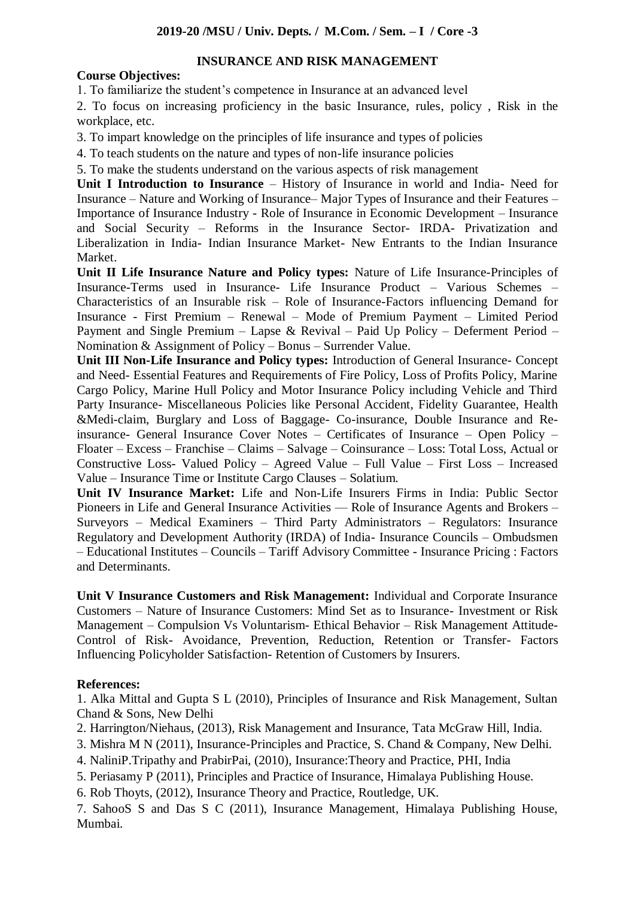## **INSURANCE AND RISK MANAGEMENT**

# **Course Objectives:**

1. To familiarize the student's competence in Insurance at an advanced level

2. To focus on increasing proficiency in the basic Insurance, rules, policy , Risk in the workplace, etc.

3. To impart knowledge on the principles of life insurance and types of policies

4. To teach students on the nature and types of non-life insurance policies

5. To make the students understand on the various aspects of risk management

**Unit I Introduction to Insurance** – History of Insurance in world and India- Need for Insurance – Nature and Working of Insurance– Major Types of Insurance and their Features – Importance of Insurance Industry - Role of Insurance in Economic Development – Insurance and Social Security – Reforms in the Insurance Sector- IRDA- Privatization and Liberalization in India- Indian Insurance Market- New Entrants to the Indian Insurance Market.

**Unit II Life Insurance Nature and Policy types:** Nature of Life Insurance-Principles of Insurance-Terms used in Insurance- Life Insurance Product – Various Schemes – Characteristics of an Insurable risk – Role of Insurance-Factors influencing Demand for Insurance - First Premium – Renewal – Mode of Premium Payment – Limited Period Payment and Single Premium – Lapse & Revival – Paid Up Policy – Deferment Period – Nomination & Assignment of Policy – Bonus – Surrender Value.

**Unit III Non-Life Insurance and Policy types:** Introduction of General Insurance- Concept and Need- Essential Features and Requirements of Fire Policy, Loss of Profits Policy, Marine Cargo Policy, Marine Hull Policy and Motor Insurance Policy including Vehicle and Third Party Insurance- Miscellaneous Policies like Personal Accident, Fidelity Guarantee, Health &Medi-claim, Burglary and Loss of Baggage- Co-insurance, Double Insurance and Reinsurance- General Insurance Cover Notes – Certificates of Insurance – Open Policy – Floater – Excess – Franchise – Claims – Salvage – Coinsurance – Loss: Total Loss, Actual or Constructive Loss- Valued Policy – Agreed Value – Full Value – First Loss – Increased Value – Insurance Time or Institute Cargo Clauses – Solatium.

**Unit IV Insurance Market:** Life and Non-Life Insurers Firms in India: Public Sector Pioneers in Life and General Insurance Activities — Role of Insurance Agents and Brokers – Surveyors – Medical Examiners – Third Party Administrators – Regulators: Insurance Regulatory and Development Authority (IRDA) of India- Insurance Councils – Ombudsmen – Educational Institutes – Councils – Tariff Advisory Committee - Insurance Pricing : Factors and Determinants.

**Unit V Insurance Customers and Risk Management:** Individual and Corporate Insurance Customers – Nature of Insurance Customers: Mind Set as to Insurance- Investment or Risk Management – Compulsion Vs Voluntarism- Ethical Behavior – Risk Management Attitude-Control of Risk- Avoidance, Prevention, Reduction, Retention or Transfer- Factors Influencing Policyholder Satisfaction- Retention of Customers by Insurers.

# **References:**

1. Alka Mittal and Gupta S L (2010), Principles of Insurance and Risk Management, Sultan Chand & Sons, New Delhi

- 2. Harrington/Niehaus, (2013), Risk Management and Insurance, Tata McGraw Hill, India.
- 3. Mishra M N (2011), Insurance-Principles and Practice, S. Chand & Company, New Delhi.
- 4. NaliniP.Tripathy and PrabirPai, (2010), Insurance:Theory and Practice, PHI, India
- 5. Periasamy P (2011), Principles and Practice of Insurance, Himalaya Publishing House.

6. Rob Thoyts, (2012), Insurance Theory and Practice, Routledge, UK.

7. SahooS S and Das S C (2011), Insurance Management, Himalaya Publishing House, Mumbai.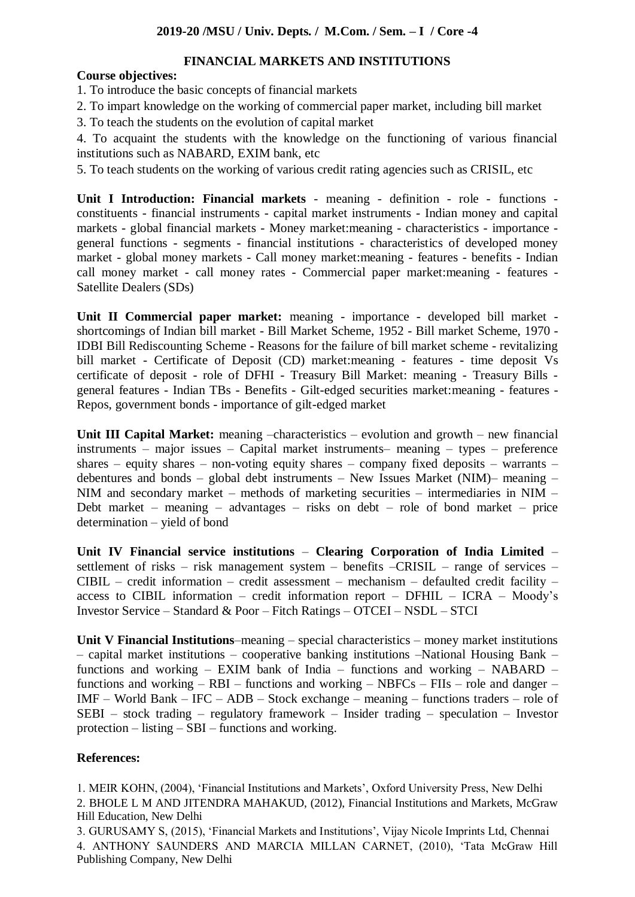## **FINANCIAL MARKETS AND INSTITUTIONS**

# **Course objectives:**

1. To introduce the basic concepts of financial markets

- 2. To impart knowledge on the working of commercial paper market, including bill market
- 3. To teach the students on the evolution of capital market

4. To acquaint the students with the knowledge on the functioning of various financial institutions such as NABARD, EXIM bank, etc

5. To teach students on the working of various credit rating agencies such as CRISIL, etc

**Unit I Introduction: Financial markets** - meaning - definition - role - functions constituents - financial instruments - capital market instruments - Indian money and capital markets - global financial markets - Money market:meaning - characteristics - importance general functions - segments - financial institutions - characteristics of developed money market - global money markets - Call money market:meaning - features - benefits - Indian call money market - call money rates - Commercial paper market:meaning - features - Satellite Dealers (SDs)

**Unit II Commercial paper market:** meaning - importance - developed bill market shortcomings of Indian bill market - Bill Market Scheme, 1952 - Bill market Scheme, 1970 - IDBI Bill Rediscounting Scheme - Reasons for the failure of bill market scheme - revitalizing bill market - Certificate of Deposit (CD) market:meaning - features - time deposit Vs certificate of deposit - role of DFHI - Treasury Bill Market: meaning - Treasury Bills general features - Indian TBs - Benefits - Gilt-edged securities market:meaning - features - Repos, government bonds - importance of gilt-edged market

**Unit III Capital Market:** meaning –characteristics – evolution and growth – new financial instruments – major issues – Capital market instruments– meaning – types – preference shares – equity shares – non-voting equity shares – company fixed deposits – warrants – debentures and bonds – global debt instruments – New Issues Market (NIM)– meaning – NIM and secondary market – methods of marketing securities – intermediaries in NIM – Debt market – meaning – advantages – risks on debt – role of bond market – price determination – yield of bond

**Unit IV Financial service institutions** – **Clearing Corporation of India Limited** – settlement of risks – risk management system – benefits –CRISIL – range of services – CIBIL – credit information – credit assessment – mechanism – defaulted credit facility – access to CIBIL information – credit information report – DFHIL – ICRA – Moody's Investor Service – Standard & Poor – Fitch Ratings – OTCEI – NSDL – STCI

**Unit V Financial Institutions**–meaning – special characteristics – money market institutions – capital market institutions – cooperative banking institutions –National Housing Bank – functions and working – EXIM bank of India – functions and working – NABARD – functions and working –  $RBI$  – functions and working –  $NBFCs$  –  $FIIs$  – role and danger – IMF – World Bank – IFC – ADB – Stock exchange – meaning – functions traders – role of SEBI – stock trading – regulatory framework – Insider trading – speculation – Investor protection – listing – SBI – functions and working.

## **References:**

1. MEIR KOHN, (2004), 'Financial Institutions and Markets', Oxford University Press, New Delhi 2. BHOLE L M AND JITENDRA MAHAKUD, (2012), Financial Institutions and Markets, McGraw Hill Education, New Delhi

3. GURUSAMY S, (2015), 'Financial Markets and Institutions', Vijay Nicole Imprints Ltd, Chennai 4. ANTHONY SAUNDERS AND MARCIA MILLAN CARNET, (2010), 'Tata McGraw Hill Publishing Company, New Delhi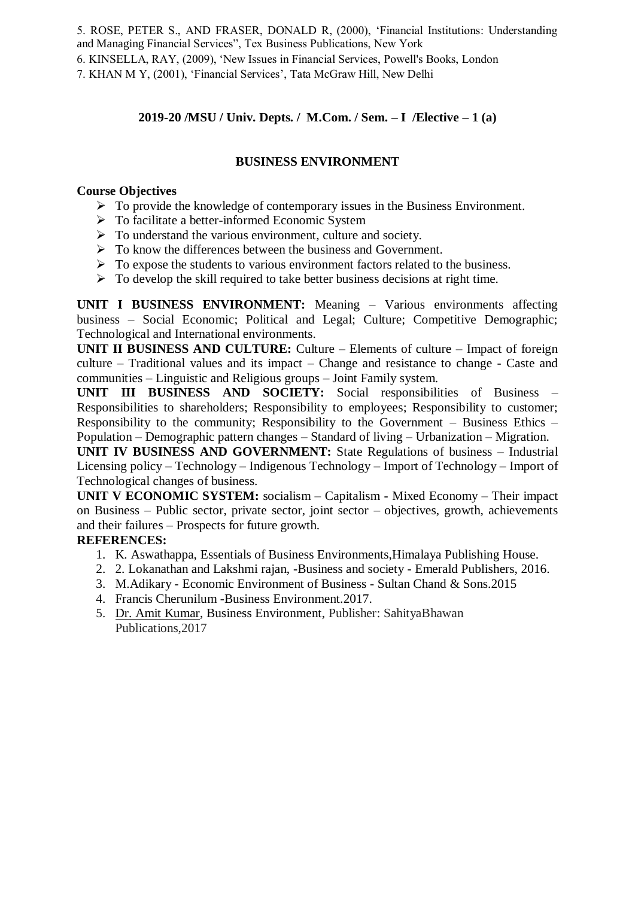5. ROSE, PETER S., AND FRASER, DONALD R, (2000), 'Financial Institutions: Understanding and Managing Financial Services", Tex Business Publications, New York

6. KINSELLA, RAY, (2009), 'New Issues in Financial Services, Powell's Books, London

7. KHAN M Y, (2001), 'Financial Services', Tata McGraw Hill, New Delhi

# **2019-20 /MSU / Univ. Depts. / M.Com. / Sem. – I /Elective – 1 (a)**

## **BUSINESS ENVIRONMENT**

#### **Course Objectives**

- $\triangleright$  To provide the knowledge of contemporary issues in the Business Environment.
- > To facilitate a better-informed Economic System
- $\triangleright$  To understand the various environment, culture and society.
- $\triangleright$  To know the differences between the business and Government.
- $\triangleright$  To expose the students to various environment factors related to the business.
- $\triangleright$  To develop the skill required to take better business decisions at right time.

**UNIT I BUSINESS ENVIRONMENT:** Meaning – Various environments affecting business – Social Economic; Political and Legal; Culture; Competitive Demographic; Technological and International environments.

**UNIT II BUSINESS AND CULTURE:** Culture – Elements of culture – Impact of foreign culture – Traditional values and its impact – Change and resistance to change - Caste and communities – Linguistic and Religious groups – Joint Family system.

**UNIT III BUSINESS AND SOCIETY:** Social responsibilities of Business – Responsibilities to shareholders; Responsibility to employees; Responsibility to customer; Responsibility to the community; Responsibility to the Government – Business Ethics – Population – Demographic pattern changes – Standard of living – Urbanization – Migration.

**UNIT IV BUSINESS AND GOVERNMENT:** State Regulations of business – Industrial Licensing policy – Technology – Indigenous Technology – Import of Technology – Import of Technological changes of business.

**UNIT V ECONOMIC SYSTEM:** socialism – Capitalism - Mixed Economy – Their impact on Business – Public sector, private sector, joint sector – objectives, growth, achievements and their failures – Prospects for future growth.

## **REFERENCES:**

- 1. K. Aswathappa, Essentials of Business Environments,Himalaya Publishing House.
- 2. 2. Lokanathan and Lakshmi rajan, -Business and society Emerald Publishers, 2016.
- 3. M.Adikary Economic Environment of Business Sultan Chand & Sons.2015
- 4. Francis Cherunilum -Business Environment.2017.
- 5. Dr. Amit [Kumar,](https://www.flipkart.com/books/dr-amit-kumar~contributor/pr?sid=bks) Business Environment, Publisher: SahityaBhawan Publications,2017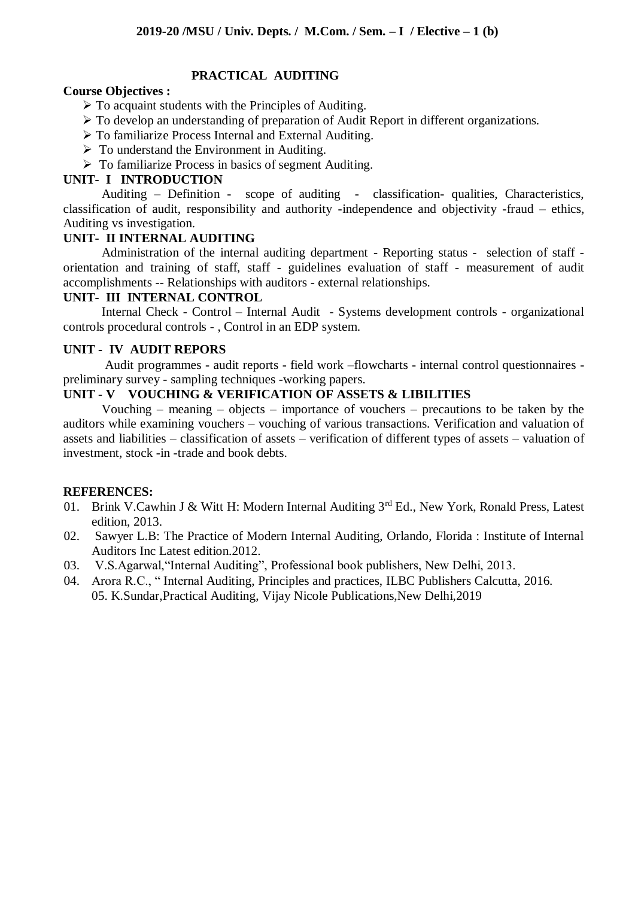## **PRACTICAL AUDITING**

#### **Course Objectives :**

- $\triangleright$  To acquaint students with the Principles of Auditing.
- To develop an understanding of preparation of Audit Report in different organizations.
- To familiarize Process Internal and External Auditing.
- $\triangleright$  To understand the Environment in Auditing.
- $\triangleright$  To familiarize Process in basics of segment Auditing.

#### **UNIT- I INTRODUCTION**

Auditing – Definition - scope of auditing - classification- qualities, Characteristics, classification of audit, responsibility and authority -independence and objectivity -fraud – ethics, Auditing vs investigation.

#### **UNIT- II INTERNAL AUDITING**

Administration of the internal auditing department - Reporting status - selection of staff orientation and training of staff, staff - guidelines evaluation of staff - measurement of audit accomplishments -- Relationships with auditors - external relationships.

#### **UNIT- III INTERNAL CONTROL**

Internal Check - Control – Internal Audit - Systems development controls - organizational controls procedural controls - , Control in an EDP system.

#### **UNIT - IV AUDIT REPORS**

Audit programmes - audit reports - field work –flowcharts - internal control questionnaires preliminary survey - sampling techniques -working papers.

#### **UNIT - V VOUCHING & VERIFICATION OF ASSETS & LIBILITIES**

Vouching – meaning – objects – importance of vouchers – precautions to be taken by the auditors while examining vouchers – vouching of various transactions. Verification and valuation of assets and liabilities – classification of assets – verification of different types of assets – valuation of investment, stock -in -trade and book debts.

## **REFERENCES:**

- 01. Brink V.Cawhin J & Witt H: Modern Internal Auditing 3<sup>rd</sup> Ed., New York, Ronald Press, Latest edition, 2013.
- 02. Sawyer L.B: The Practice of Modern Internal Auditing, Orlando, Florida : Institute of Internal Auditors Inc Latest edition.2012.
- 03. V.S.Agarwal,"Internal Auditing", Professional book publishers, New Delhi, 2013.
- 04. Arora R.C., " Internal Auditing, Principles and practices, ILBC Publishers Calcutta, 2016. 05. K.Sundar,Practical Auditing, Vijay Nicole Publications,New Delhi,2019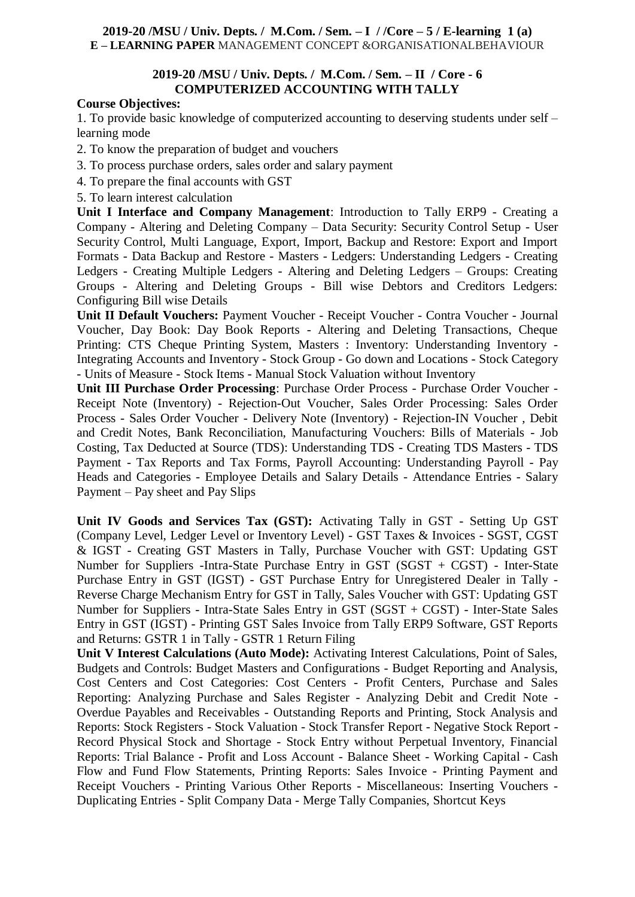#### **2019-20 /MSU / Univ. Depts. / M.Com. / Sem. – I / /Core – 5 / E-learning 1 (a) E – LEARNING PAPER** MANAGEMENT CONCEPT &ORGANISATIONALBEHAVIOUR

#### **2019-20 /MSU / Univ. Depts. / M.Com. / Sem. – II / Core - 6 COMPUTERIZED ACCOUNTING WITH TALLY**

#### **Course Objectives:**

1. To provide basic knowledge of computerized accounting to deserving students under self – learning mode

2. To know the preparation of budget and vouchers

3. To process purchase orders, sales order and salary payment

4. To prepare the final accounts with GST

5. To learn interest calculation

**Unit I Interface and Company Management**: Introduction to Tally ERP9 - Creating a Company - Altering and Deleting Company – Data Security: Security Control Setup - User Security Control, Multi Language, Export, Import, Backup and Restore: Export and Import Formats - Data Backup and Restore - Masters - Ledgers: Understanding Ledgers - Creating Ledgers - Creating Multiple Ledgers - Altering and Deleting Ledgers – Groups: Creating Groups - Altering and Deleting Groups - Bill wise Debtors and Creditors Ledgers: Configuring Bill wise Details

**Unit II Default Vouchers:** Payment Voucher - Receipt Voucher - Contra Voucher - Journal Voucher, Day Book: Day Book Reports - Altering and Deleting Transactions, Cheque Printing: CTS Cheque Printing System, Masters : Inventory: Understanding Inventory - Integrating Accounts and Inventory - Stock Group - Go down and Locations - Stock Category - Units of Measure - Stock Items - Manual Stock Valuation without Inventory

**Unit III Purchase Order Processing**: Purchase Order Process - Purchase Order Voucher - Receipt Note (Inventory) - Rejection-Out Voucher, Sales Order Processing: Sales Order Process - Sales Order Voucher - Delivery Note (Inventory) - Rejection-IN Voucher , Debit and Credit Notes, Bank Reconciliation, Manufacturing Vouchers: Bills of Materials - Job Costing, Tax Deducted at Source (TDS): Understanding TDS - Creating TDS Masters - TDS Payment - Tax Reports and Tax Forms, Payroll Accounting: Understanding Payroll - Pay Heads and Categories - Employee Details and Salary Details - Attendance Entries - Salary Payment – Pay sheet and Pay Slips

**Unit IV Goods and Services Tax (GST):** Activating Tally in GST - Setting Up GST (Company Level, Ledger Level or Inventory Level) - GST Taxes & Invoices - SGST, CGST & IGST - Creating GST Masters in Tally, Purchase Voucher with GST: Updating GST Number for Suppliers -Intra-State Purchase Entry in GST (SGST + CGST) - Inter-State Purchase Entry in GST (IGST) - GST Purchase Entry for Unregistered Dealer in Tally - Reverse Charge Mechanism Entry for GST in Tally, Sales Voucher with GST: Updating GST Number for Suppliers - Intra-State Sales Entry in GST (SGST + CGST) - Inter-State Sales Entry in GST (IGST) - Printing GST Sales Invoice from Tally ERP9 Software, GST Reports and Returns: GSTR 1 in Tally - GSTR 1 Return Filing

**Unit V Interest Calculations (Auto Mode):** Activating Interest Calculations, Point of Sales, Budgets and Controls: Budget Masters and Configurations - Budget Reporting and Analysis, Cost Centers and Cost Categories: Cost Centers - Profit Centers, Purchase and Sales Reporting: Analyzing Purchase and Sales Register - Analyzing Debit and Credit Note - Overdue Payables and Receivables - Outstanding Reports and Printing, Stock Analysis and Reports: Stock Registers - Stock Valuation - Stock Transfer Report - Negative Stock Report - Record Physical Stock and Shortage - Stock Entry without Perpetual Inventory, Financial Reports: Trial Balance - Profit and Loss Account - Balance Sheet - Working Capital - Cash Flow and Fund Flow Statements, Printing Reports: Sales Invoice - Printing Payment and Receipt Vouchers - Printing Various Other Reports - Miscellaneous: Inserting Vouchers - Duplicating Entries - Split Company Data - Merge Tally Companies, Shortcut Keys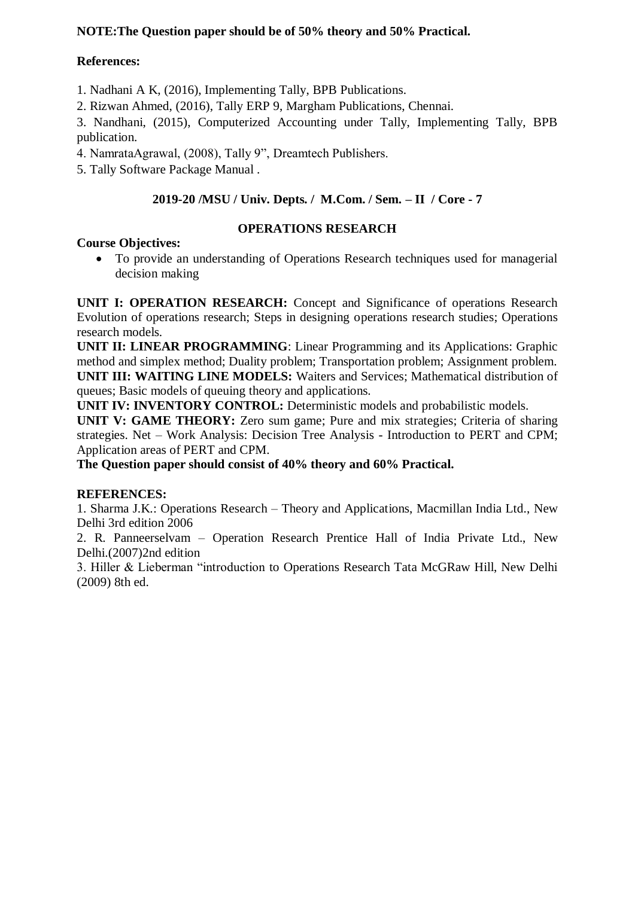# **NOTE:The Question paper should be of 50% theory and 50% Practical.**

## **References:**

1. Nadhani A K, (2016), Implementing Tally, BPB Publications.

2. Rizwan Ahmed, (2016), Tally ERP 9, Margham Publications, Chennai.

3. Nandhani, (2015), Computerized Accounting under Tally, Implementing Tally, BPB publication.

4. NamrataAgrawal, (2008), Tally 9", Dreamtech Publishers.

5. Tally Software Package Manual .

# **2019-20 /MSU / Univ. Depts. / M.Com. / Sem. – II / Core - 7**

# **Course Objectives:**

# **OPERATIONS RESEARCH**

 To provide an understanding of Operations Research techniques used for managerial decision making

**UNIT I: OPERATION RESEARCH:** Concept and Significance of operations Research Evolution of operations research; Steps in designing operations research studies; Operations research models.

**UNIT II: LINEAR PROGRAMMING**: Linear Programming and its Applications: Graphic method and simplex method; Duality problem; Transportation problem; Assignment problem. **UNIT III: WAITING LINE MODELS:** Waiters and Services; Mathematical distribution of queues; Basic models of queuing theory and applications.

**UNIT IV: INVENTORY CONTROL:** Deterministic models and probabilistic models.

**UNIT V: GAME THEORY:** Zero sum game; Pure and mix strategies; Criteria of sharing strategies. Net – Work Analysis: Decision Tree Analysis - Introduction to PERT and CPM; Application areas of PERT and CPM.

**The Question paper should consist of 40% theory and 60% Practical.**

## **REFERENCES:**

1. Sharma J.K.: Operations Research – Theory and Applications, Macmillan India Ltd., New Delhi 3rd edition 2006

2. R. Panneerselvam – Operation Research Prentice Hall of India Private Ltd., New Delhi.(2007)2nd edition

3. Hiller & Lieberman "introduction to Operations Research Tata McGRaw Hill, New Delhi (2009) 8th ed.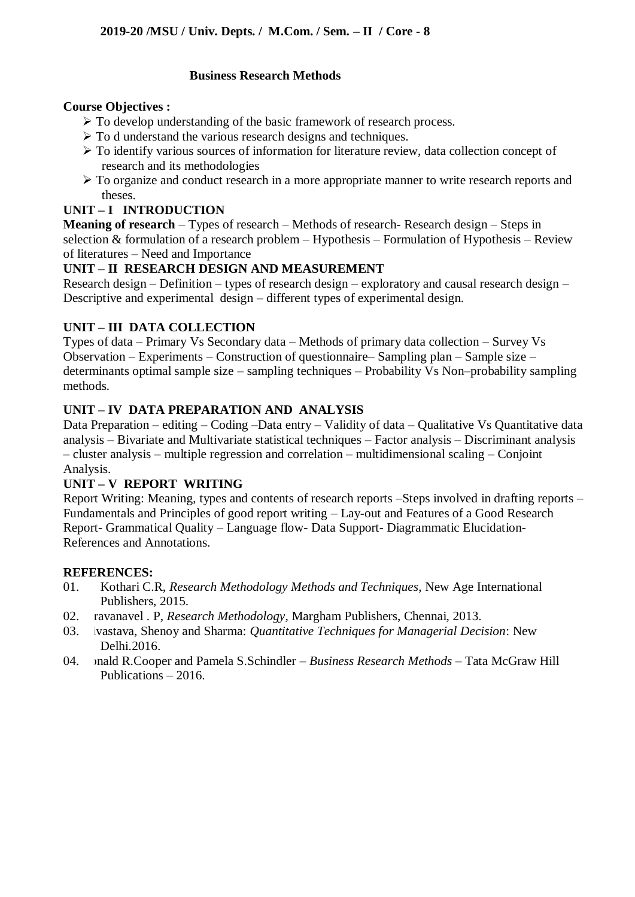## **Business Research Methods**

#### **Course Objectives :**

- $\triangleright$  To develop understanding of the basic framework of research process.
- $\triangleright$  To d understand the various research designs and techniques.
- To identify various sources of information for literature review, data collection concept of research and its methodologies
- $\triangleright$  To organize and conduct research in a more appropriate manner to write research reports and theses.

# **UNIT – I INTRODUCTION**

**Meaning of research** – Types of research – Methods of research- Research design – Steps in selection & formulation of a research problem – Hypothesis – Formulation of Hypothesis – Review of literatures – Need and Importance

# **UNIT – II RESEARCH DESIGN AND MEASUREMENT**

Research design – Definition – types of research design – exploratory and causal research design – Descriptive and experimental design – different types of experimental design.

# **UNIT – III DATA COLLECTION**

Types of data – Primary Vs Secondary data – Methods of primary data collection – Survey Vs Observation – Experiments – Construction of questionnaire– Sampling plan – Sample size – determinants optimal sample size – sampling techniques – Probability Vs Non–probability sampling methods.

# **UNIT – IV DATA PREPARATION AND ANALYSIS**

Data Preparation – editing – Coding –Data entry – Validity of data – Qualitative Vs Quantitative data analysis – Bivariate and Multivariate statistical techniques – Factor analysis – Discriminant analysis – cluster analysis – multiple regression and correlation – multidimensional scaling – Conjoint Analysis.

## **UNIT – V REPORT WRITING**

Report Writing: Meaning, types and contents of research reports –Steps involved in drafting reports – Fundamentals and Principles of good report writing – Lay-out and Features of a Good Research Report- Grammatical Quality – Language flow- Data Support- Diagrammatic Elucidation-References and Annotations.

## **REFERENCES:**

- 01. Kothari C.R, *Research Methodology Methods and Techniques*, New Age International Publishers, 2015.
- 02. ravanavel . P, *Research Methodology*, Margham Publishers, Chennai, 2013.
- 03. ivastava, Shenoy and Sharma: *Quantitative Techniques for Managerial Decision*: New Delhi.2016.
- 04. onald R.Cooper and Pamela S.Schindler *Business Research Methods* Tata McGraw Hill Publications – 2016.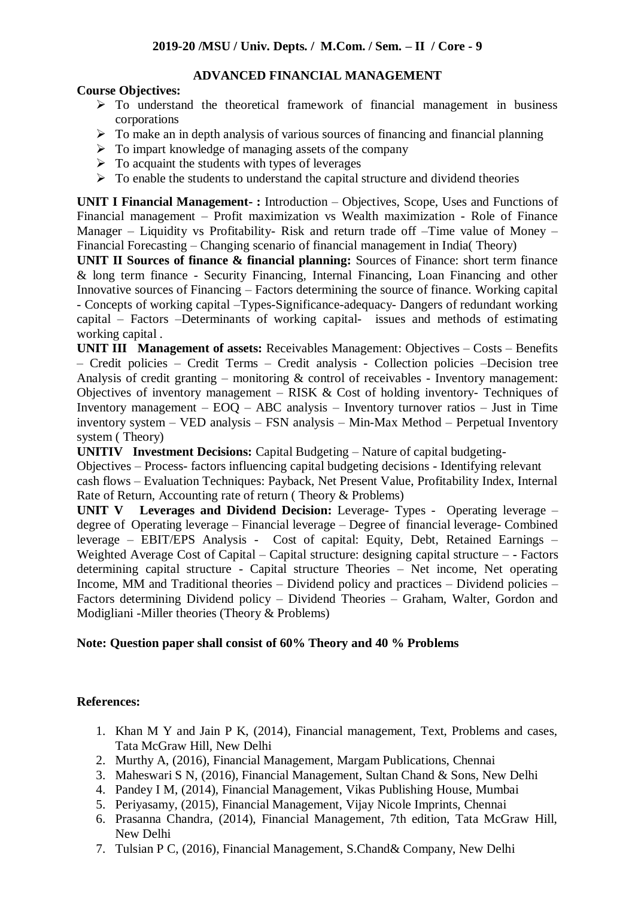# **ADVANCED FINANCIAL MANAGEMENT**

#### **Course Objectives:**

- $\triangleright$  To understand the theoretical framework of financial management in business corporations
- $\triangleright$  To make an in depth analysis of various sources of financing and financial planning
- $\triangleright$  To impart knowledge of managing assets of the company
- $\triangleright$  To acquaint the students with types of leverages
- $\triangleright$  To enable the students to understand the capital structure and dividend theories

**UNIT I Financial Management- :** Introduction – Objectives, Scope, Uses and Functions of Financial management – Profit maximization vs Wealth maximization - Role of Finance Manager – Liquidity vs Profitability- Risk and return trade off –Time value of Money – Financial Forecasting – Changing scenario of financial management in India( Theory)

**UNIT II Sources of finance & financial planning:** Sources of Finance: short term finance & long term finance - Security Financing, Internal Financing, Loan Financing and other Innovative sources of Financing – Factors determining the source of finance. Working capital - Concepts of working capital –Types-Significance-adequacy- Dangers of redundant working capital – Factors –Determinants of working capital- issues and methods of estimating working capital .

**UNIT III Management of assets:** Receivables Management: Objectives – Costs – Benefits – Credit policies – Credit Terms – Credit analysis - Collection policies –Decision tree Analysis of credit granting – monitoring  $\&$  control of receivables - Inventory management: Objectives of inventory management – RISK  $& Cost$  of holding inventory- Techniques of Inventory management – EOQ – ABC analysis – Inventory turnover ratios – Just in Time inventory system – VED analysis – FSN analysis – Min-Max Method – Perpetual Inventory system ( Theory)

**UNITIV** Investment Decisions: Capital Budgeting – Nature of capital budgeting-

Objectives – Process- factors influencing capital budgeting decisions - Identifying relevant cash flows – Evaluation Techniques: Payback, Net Present Value, Profitability Index, Internal Rate of Return, Accounting rate of return ( Theory & Problems)

**UNIT V Leverages and Dividend Decision:** Leverage- Types - Operating leverage – degree of Operating leverage – Financial leverage – Degree of financial leverage- Combined leverage – EBIT/EPS Analysis - Cost of capital: Equity, Debt, Retained Earnings – Weighted Average Cost of Capital – Capital structure: designing capital structure – - Factors determining capital structure - Capital structure Theories – Net income, Net operating Income, MM and Traditional theories – Dividend policy and practices – Dividend policies – Factors determining Dividend policy – Dividend Theories – Graham, Walter, Gordon and Modigliani -Miller theories (Theory & Problems)

## **Note: Question paper shall consist of 60% Theory and 40 % Problems**

## **References:**

- 1. Khan M Y and Jain P K, (2014), Financial management, Text, Problems and cases, Tata McGraw Hill, New Delhi
- 2. Murthy A, (2016), Financial Management, Margam Publications, Chennai
- 3. Maheswari S N, (2016), Financial Management, Sultan Chand & Sons, New Delhi
- 4. Pandey I M, (2014), Financial Management, Vikas Publishing House, Mumbai
- 5. Periyasamy, (2015), Financial Management, Vijay Nicole Imprints, Chennai
- 6. Prasanna Chandra, (2014), Financial Management, 7th edition, Tata McGraw Hill, New Delhi
- 7. Tulsian P C, (2016), Financial Management, S.Chand& Company, New Delhi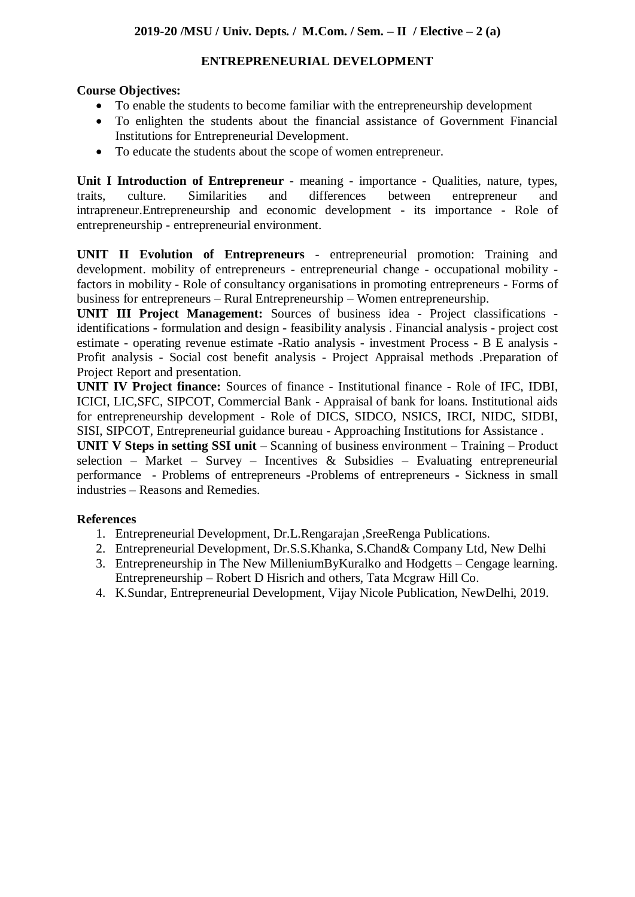# **ENTREPRENEURIAL DEVELOPMENT**

# **Course Objectives:**

- To enable the students to become familiar with the entrepreneurship development
- To enlighten the students about the financial assistance of Government Financial Institutions for Entrepreneurial Development.
- To educate the students about the scope of women entrepreneur.

**Unit I Introduction of Entrepreneur** - meaning - importance - Qualities, nature, types, traits, culture. Similarities and differences between entrepreneur and intrapreneur.Entrepreneurship and economic development - its importance - Role of entrepreneurship - entrepreneurial environment.

**UNIT II Evolution of Entrepreneurs** - entrepreneurial promotion: Training and development. mobility of entrepreneurs - entrepreneurial change - occupational mobility factors in mobility - Role of consultancy organisations in promoting entrepreneurs - Forms of business for entrepreneurs – Rural Entrepreneurship – Women entrepreneurship.

**UNIT III Project Management:** Sources of business idea - Project classifications identifications - formulation and design - feasibility analysis . Financial analysis - project cost estimate - operating revenue estimate -Ratio analysis - investment Process - B E analysis - Profit analysis - Social cost benefit analysis - Project Appraisal methods .Preparation of Project Report and presentation.

**UNIT IV Project finance:** Sources of finance - Institutional finance - Role of IFC, IDBI, ICICI, LIC,SFC, SIPCOT, Commercial Bank - Appraisal of bank for loans. Institutional aids for entrepreneurship development - Role of DICS, SIDCO, NSICS, IRCI, NIDC, SIDBI, SISI, SIPCOT, Entrepreneurial guidance bureau - Approaching Institutions for Assistance .

**UNIT V Steps in setting SSI unit** – Scanning of business environment – Training – Product selection – Market – Survey – Incentives & Subsidies – Evaluating entrepreneurial performance - Problems of entrepreneurs -Problems of entrepreneurs - Sickness in small industries – Reasons and Remedies.

# **References**

- 1. Entrepreneurial Development, Dr.L.Rengarajan ,SreeRenga Publications.
- 2. Entrepreneurial Development, Dr.S.S.Khanka, S.Chand& Company Ltd, New Delhi
- 3. Entrepreneurship in The New MilleniumByKuralko and Hodgetts Cengage learning. Entrepreneurship – Robert D Hisrich and others, Tata Mcgraw Hill Co.
- 4. K.Sundar, Entrepreneurial Development, Vijay Nicole Publication, NewDelhi, 2019.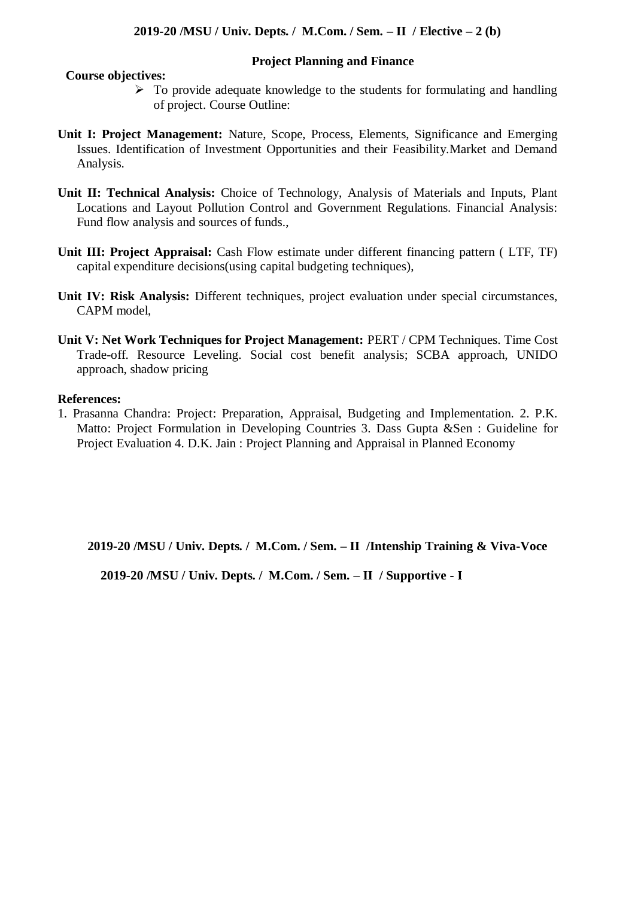**Project Planning and Finance** 

#### **Course objectives:**

- $\triangleright$  To provide adequate knowledge to the students for formulating and handling of project. Course Outline:
- **Unit I: Project Management:** Nature, Scope, Process, Elements, Significance and Emerging Issues. Identification of Investment Opportunities and their Feasibility.Market and Demand Analysis.
- **Unit II: Technical Analysis:** Choice of Technology, Analysis of Materials and Inputs, Plant Locations and Layout Pollution Control and Government Regulations. Financial Analysis: Fund flow analysis and sources of funds.,
- **Unit III: Project Appraisal:** Cash Flow estimate under different financing pattern ( LTF, TF) capital expenditure decisions(using capital budgeting techniques),
- **Unit IV: Risk Analysis:** Different techniques, project evaluation under special circumstances, CAPM model,
- **Unit V: Net Work Techniques for Project Management:** PERT / CPM Techniques. Time Cost Trade-off. Resource Leveling. Social cost benefit analysis; SCBA approach, UNIDO approach, shadow pricing

#### **References:**

1. Prasanna Chandra: Project: Preparation, Appraisal, Budgeting and Implementation. 2. P.K. Matto: Project Formulation in Developing Countries 3. Dass Gupta &Sen : Guideline for Project Evaluation 4. D.K. Jain : Project Planning and Appraisal in Planned Economy

**2019-20 /MSU / Univ. Depts. / M.Com. / Sem. – II /Intenship Training & Viva-Voce**

**2019-20 /MSU / Univ. Depts. / M.Com. / Sem. – II / Supportive - I**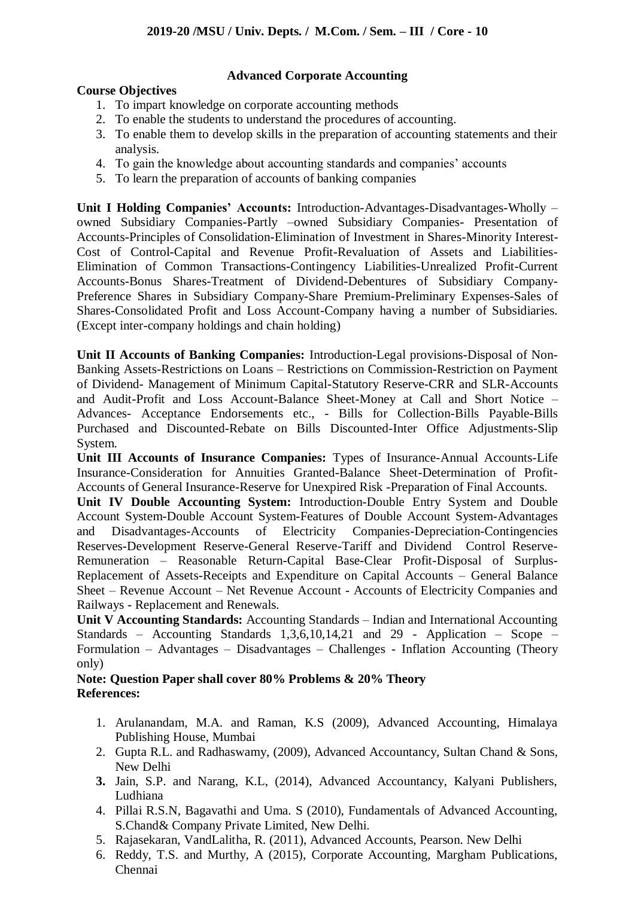# **Advanced Corporate Accounting**

## **Course Objectives**

- 1. To impart knowledge on corporate accounting methods
- 2. To enable the students to understand the procedures of accounting.
- 3. To enable them to develop skills in the preparation of accounting statements and their analysis.
- 4. To gain the knowledge about accounting standards and companies' accounts
- 5. To learn the preparation of accounts of banking companies

**Unit I Holding Companies' Accounts:** Introduction-Advantages-Disadvantages-Wholly – owned Subsidiary Companies-Partly –owned Subsidiary Companies- Presentation of Accounts-Principles of Consolidation-Elimination of Investment in Shares-Minority Interest-Cost of Control-Capital and Revenue Profit-Revaluation of Assets and Liabilities-Elimination of Common Transactions-Contingency Liabilities-Unrealized Profit-Current Accounts-Bonus Shares-Treatment of Dividend-Debentures of Subsidiary Company-Preference Shares in Subsidiary Company-Share Premium-Preliminary Expenses-Sales of Shares-Consolidated Profit and Loss Account-Company having a number of Subsidiaries. (Except inter-company holdings and chain holding)

**Unit II Accounts of Banking Companies:** Introduction-Legal provisions-Disposal of Non-Banking Assets-Restrictions on Loans – Restrictions on Commission-Restriction on Payment of Dividend- Management of Minimum Capital-Statutory Reserve-CRR and SLR-Accounts and Audit-Profit and Loss Account-Balance Sheet-Money at Call and Short Notice – Advances- Acceptance Endorsements etc., - Bills for Collection-Bills Payable-Bills Purchased and Discounted-Rebate on Bills Discounted-Inter Office Adjustments-Slip System.

**Unit III Accounts of Insurance Companies:** Types of Insurance-Annual Accounts-Life Insurance-Consideration for Annuities Granted-Balance Sheet-Determination of Profit-Accounts of General Insurance-Reserve for Unexpired Risk -Preparation of Final Accounts.

**Unit IV Double Accounting System:** Introduction-Double Entry System and Double Account System-Double Account System-Features of Double Account System-Advantages and Disadvantages-Accounts of Electricity Companies-Depreciation-Contingencies and Disadvantages-Accounts of Electricity Companies-Depreciation-Contingencies Reserves-Development Reserve-General Reserve-Tariff and Dividend Control Reserve-Remuneration – Reasonable Return-Capital Base-Clear Profit-Disposal of Surplus-Replacement of Assets-Receipts and Expenditure on Capital Accounts – General Balance Sheet – Revenue Account – Net Revenue Account - Accounts of Electricity Companies and Railways - Replacement and Renewals.

**Unit V Accounting Standards:** Accounting Standards – Indian and International Accounting Standards – Accounting Standards 1,3,6,10,14,21 and 29 - Application – Scope – Formulation – Advantages – Disadvantages – Challenges - Inflation Accounting (Theory only)

#### **Note: Question Paper shall cover 80% Problems & 20% Theory References:**

- 1. Arulanandam, M.A. and Raman, K.S (2009), Advanced Accounting, Himalaya Publishing House, Mumbai
- 2. Gupta R.L. and Radhaswamy, (2009), Advanced Accountancy, Sultan Chand & Sons, New Delhi
- **3.** Jain, S.P. and Narang, K.L, (2014), Advanced Accountancy, Kalyani Publishers, Ludhiana
- 4. Pillai R.S.N, Bagavathi and Uma. S (2010), Fundamentals of Advanced Accounting, S.Chand& Company Private Limited, New Delhi.
- 5. Rajasekaran, VandLalitha, R. (2011), Advanced Accounts, Pearson. New Delhi
- 6. Reddy, T.S. and Murthy, A (2015), Corporate Accounting, Margham Publications, Chennai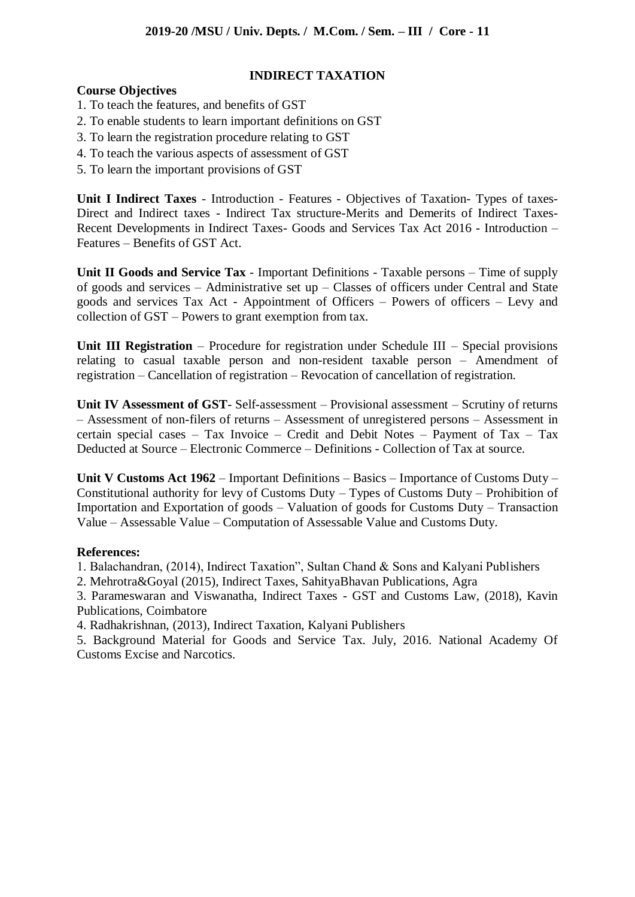#### **INDIRECT TAXATION**

#### **Course Objectives**

- 1. To teach the features, and benefits of GST
- 2. To enable students to learn important definitions on GST
- 3. To learn the registration procedure relating to GST
- 4. To teach the various aspects of assessment of GST
- 5. To learn the important provisions of GST

**Unit I Indirect Taxes** - Introduction - Features - Objectives of Taxation- Types of taxes-Direct and Indirect taxes - Indirect Tax structure-Merits and Demerits of Indirect Taxes-Recent Developments in Indirect Taxes- Goods and Services Tax Act 2016 - Introduction – Features – Benefits of GST Act.

**Unit II Goods and Service Tax** - Important Definitions - Taxable persons – Time of supply of goods and services – Administrative set up – Classes of officers under Central and State goods and services Tax Act - Appointment of Officers – Powers of officers – Levy and collection of GST – Powers to grant exemption from tax.

**Unit III Registration** – Procedure for registration under Schedule III – Special provisions relating to casual taxable person and non-resident taxable person – Amendment of registration – Cancellation of registration – Revocation of cancellation of registration.

**Unit IV Assessment of GST**- Self-assessment – Provisional assessment – Scrutiny of returns – Assessment of non-filers of returns – Assessment of unregistered persons – Assessment in certain special cases – Tax Invoice – Credit and Debit Notes – Payment of Tax – Tax Deducted at Source – Electronic Commerce – Definitions - Collection of Tax at source.

**Unit V Customs Act 1962** – Important Definitions – Basics – Importance of Customs Duty – Constitutional authority for levy of Customs Duty – Types of Customs Duty – Prohibition of Importation and Exportation of goods – Valuation of goods for Customs Duty – Transaction Value – Assessable Value – Computation of Assessable Value and Customs Duty.

#### **References:**

1. Balachandran, (2014), Indirect Taxation", Sultan Chand & Sons and Kalyani Publishers

2. Mehrotra&Goyal (2015), Indirect Taxes, SahityaBhavan Publications, Agra

3. Parameswaran and Viswanatha, Indirect Taxes - GST and Customs Law, (2018), Kavin Publications, Coimbatore

4. Radhakrishnan, (2013), Indirect Taxation, Kalyani Publishers

5. Background Material for Goods and Service Tax. July, 2016. National Academy Of Customs Excise and Narcotics.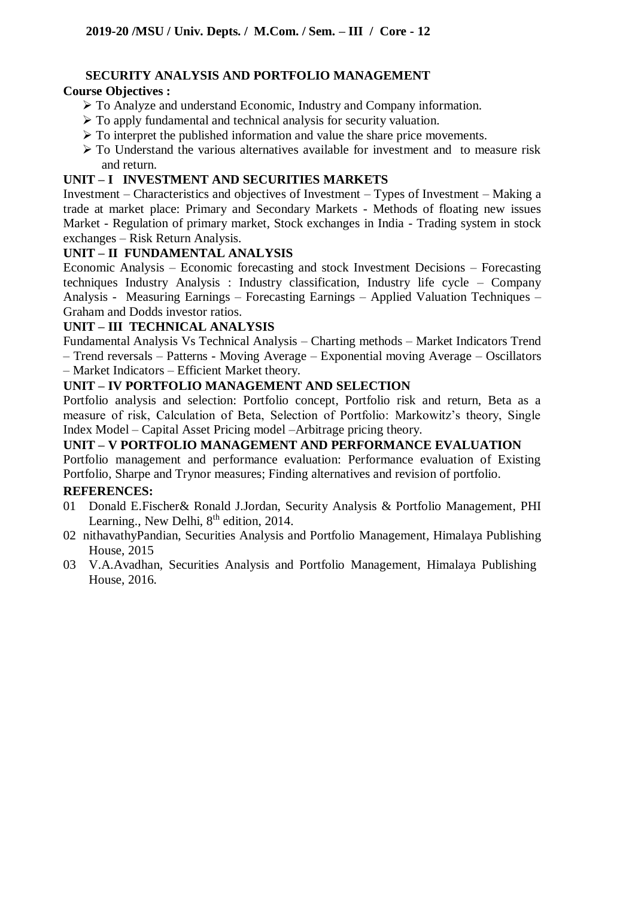# **SECURITY ANALYSIS AND PORTFOLIO MANAGEMENT**

# **Course Objectives :**

- To Analyze and understand Economic, Industry and Company information.
- $\triangleright$  To apply fundamental and technical analysis for security valuation.
- $\triangleright$  To interpret the published information and value the share price movements.
- To Understand the various alternatives available for investment and to measure risk and return.

# **UNIT – I INVESTMENT AND SECURITIES MARKETS**

Investment – Characteristics and objectives of Investment – Types of Investment – Making a trade at market place: Primary and Secondary Markets - Methods of floating new issues Market - Regulation of primary market, Stock exchanges in India - Trading system in stock exchanges – Risk Return Analysis.

# **UNIT – II FUNDAMENTAL ANALYSIS**

Economic Analysis – Economic forecasting and stock Investment Decisions – Forecasting techniques Industry Analysis : Industry classification, Industry life cycle – Company Analysis - Measuring Earnings – Forecasting Earnings – Applied Valuation Techniques – Graham and Dodds investor ratios.

# **UNIT – III TECHNICAL ANALYSIS**

Fundamental Analysis Vs Technical Analysis – Charting methods – Market Indicators Trend – Trend reversals – Patterns - Moving Average – Exponential moving Average – Oscillators – Market Indicators – Efficient Market theory.

# **UNIT – IV PORTFOLIO MANAGEMENT AND SELECTION**

Portfolio analysis and selection: Portfolio concept, Portfolio risk and return, Beta as a measure of risk, Calculation of Beta, Selection of Portfolio: Markowitz's theory, Single Index Model – Capital Asset Pricing model –Arbitrage pricing theory.

# **UNIT – V PORTFOLIO MANAGEMENT AND PERFORMANCE EVALUATION**

Portfolio management and performance evaluation: Performance evaluation of Existing Portfolio, Sharpe and Trynor measures; Finding alternatives and revision of portfolio.

## **REFERENCES:**

- 01 Donald E.Fischer& Ronald J.Jordan, Security Analysis & Portfolio Management, PHI Learning., New Delhi, 8<sup>th</sup> edition, 2014.
- 02 nithavathyPandian, Securities Analysis and Portfolio Management, Himalaya Publishing House, 2015
- 03 V.A.Avadhan, Securities Analysis and Portfolio Management, Himalaya Publishing House, 2016.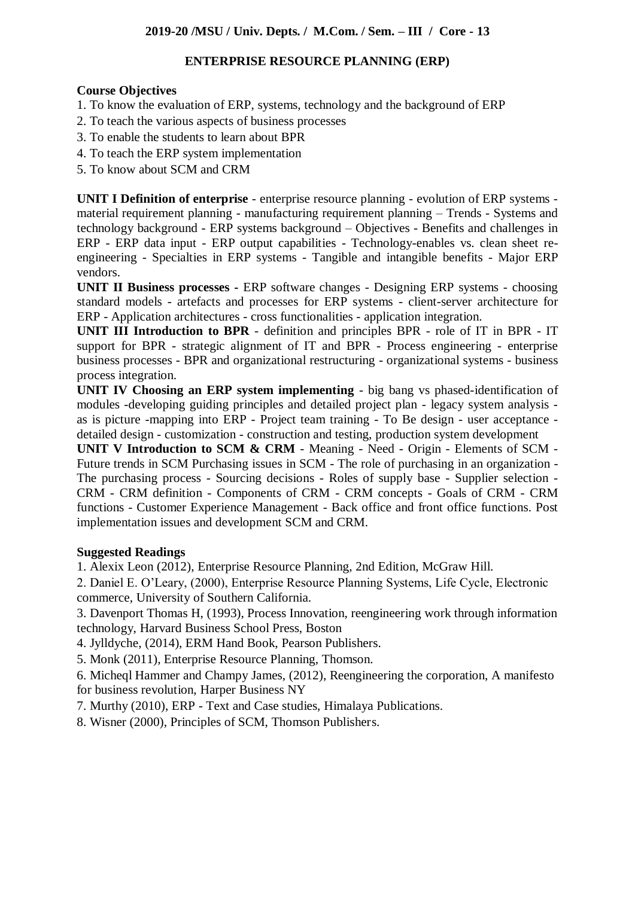## **ENTERPRISE RESOURCE PLANNING (ERP)**

#### **Course Objectives**

- 1. To know the evaluation of ERP, systems, technology and the background of ERP
- 2. To teach the various aspects of business processes
- 3. To enable the students to learn about BPR
- 4. To teach the ERP system implementation
- 5. To know about SCM and CRM

**UNIT I Definition of enterprise** - enterprise resource planning - evolution of ERP systems material requirement planning - manufacturing requirement planning – Trends - Systems and technology background - ERP systems background – Objectives - Benefits and challenges in ERP - ERP data input - ERP output capabilities - Technology-enables vs. clean sheet reengineering - Specialties in ERP systems - Tangible and intangible benefits - Major ERP vendors.

**UNIT II Business processes -** ERP software changes - Designing ERP systems - choosing standard models - artefacts and processes for ERP systems - client-server architecture for ERP - Application architectures - cross functionalities - application integration.

**UNIT III Introduction to BPR** - definition and principles BPR - role of IT in BPR - IT support for BPR - strategic alignment of IT and BPR - Process engineering - enterprise business processes - BPR and organizational restructuring - organizational systems - business process integration.

**UNIT IV Choosing an ERP system implementing** - big bang vs phased-identification of modules -developing guiding principles and detailed project plan - legacy system analysis as is picture -mapping into ERP - Project team training - To Be design - user acceptance detailed design - customization - construction and testing, production system development

**UNIT V Introduction to SCM & CRM** - Meaning - Need - Origin - Elements of SCM - Future trends in SCM Purchasing issues in SCM - The role of purchasing in an organization - The purchasing process - Sourcing decisions - Roles of supply base - Supplier selection - CRM - CRM definition - Components of CRM - CRM concepts - Goals of CRM - CRM functions - Customer Experience Management - Back office and front office functions. Post implementation issues and development SCM and CRM.

## **Suggested Readings**

1. Alexix Leon (2012), Enterprise Resource Planning, 2nd Edition, McGraw Hill.

2. Daniel E. O'Leary, (2000), Enterprise Resource Planning Systems, Life Cycle, Electronic commerce, University of Southern California.

3. Davenport Thomas H, (1993), Process Innovation, reengineering work through information technology, Harvard Business School Press, Boston

4. Jylldyche, (2014), ERM Hand Book, Pearson Publishers.

5. Monk (2011), Enterprise Resource Planning, Thomson.

6. Micheql Hammer and Champy James, (2012), Reengineering the corporation, A manifesto for business revolution, Harper Business NY

7. Murthy (2010), ERP - Text and Case studies, Himalaya Publications.

8. Wisner (2000), Principles of SCM, Thomson Publishers.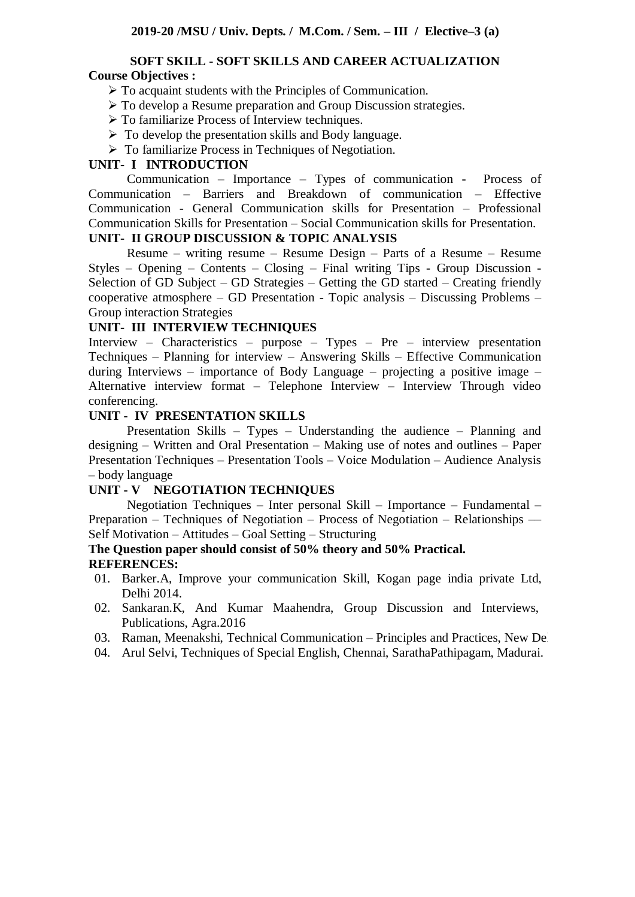#### **SOFT SKILL - SOFT SKILLS AND CAREER ACTUALIZATION Course Objectives :**

- $\triangleright$  To acquaint students with the Principles of Communication.
- To develop a Resume preparation and Group Discussion strategies.
- To familiarize Process of Interview techniques.
- $\triangleright$  To develop the presentation skills and Body language.
- $\triangleright$  To familiarize Process in Techniques of Negotiation.

#### **UNIT- I INTRODUCTION**

Communication – Importance – Types of communication - Process of Communication – Barriers and Breakdown of communication – Effective Communication - General Communication skills for Presentation – Professional Communication Skills for Presentation – Social Communication skills for Presentation.

# **UNIT- II GROUP DISCUSSION & TOPIC ANALYSIS**

Resume – writing resume – Resume Design – Parts of a Resume – Resume Styles – Opening – Contents – Closing – Final writing Tips - Group Discussion - Selection of GD Subject – GD Strategies – Getting the GD started – Creating friendly cooperative atmosphere – GD Presentation - Topic analysis – Discussing Problems – Group interaction Strategies

#### **UNIT- III INTERVIEW TECHNIQUES**

Interview – Characteristics – purpose – Types – Pre – interview presentation Techniques – Planning for interview – Answering Skills – Effective Communication during Interviews – importance of Body Language – projecting a positive image – Alternative interview format – Telephone Interview – Interview Through video conferencing.

#### **UNIT - IV PRESENTATION SKILLS**

Presentation Skills – Types – Understanding the audience – Planning and designing – Written and Oral Presentation – Making use of notes and outlines – Paper Presentation Techniques – Presentation Tools – Voice Modulation – Audience Analysis – body language

#### **UNIT - V NEGOTIATION TECHNIQUES**

Negotiation Techniques – Inter personal Skill – Importance – Fundamental – Preparation – Techniques of Negotiation – Process of Negotiation – Relationships — Self Motivation – Attitudes – Goal Setting – Structuring

#### **The Question paper should consist of 50% theory and 50% Practical. REFERENCES:**

- 01. Barker.A, Improve your communication Skill, Kogan page india private Ltd, Delhi 2014.
- 02. Sankaran.K, And Kumar Maahendra, Group Discussion and Interviews, Publications, Agra.2016
- 03. Raman, Meenakshi, Technical Communication Principles and Practices, New De
- 04. Arul Selvi, Techniques of Special English, Chennai, SarathaPathipagam, Madurai.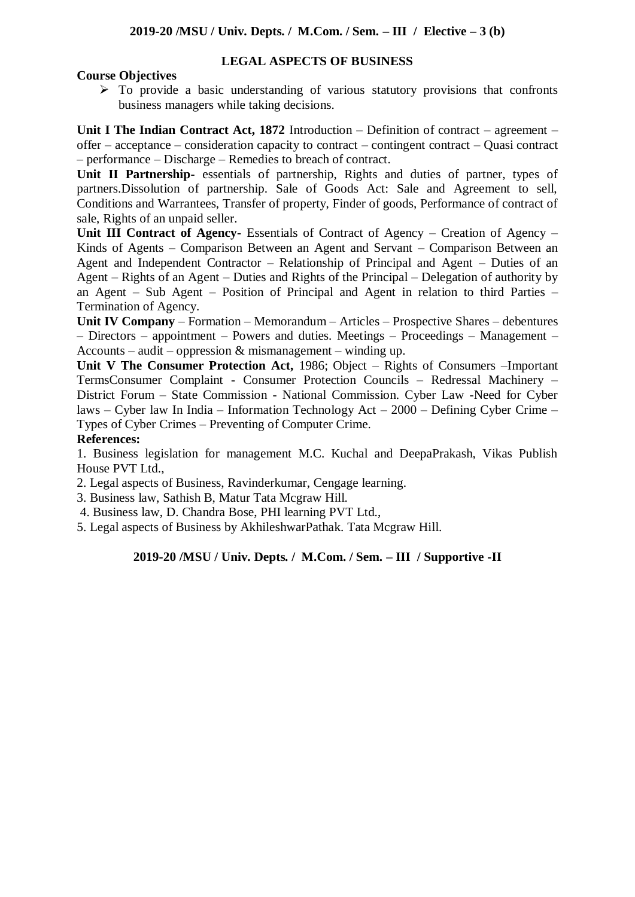#### **LEGAL ASPECTS OF BUSINESS**

## **Course Objectives**

 $\triangleright$  To provide a basic understanding of various statutory provisions that confronts business managers while taking decisions.

**Unit I The Indian Contract Act, 1872** Introduction – Definition of contract – agreement – offer – acceptance – consideration capacity to contract – contingent contract – Quasi contract – performance – Discharge – Remedies to breach of contract.

**Unit II Partnership-** essentials of partnership, Rights and duties of partner, types of partners.Dissolution of partnership. Sale of Goods Act: Sale and Agreement to sell, Conditions and Warrantees, Transfer of property, Finder of goods, Performance of contract of sale, Rights of an unpaid seller.

**Unit III Contract of Agency-** Essentials of Contract of Agency – Creation of Agency – Kinds of Agents – Comparison Between an Agent and Servant – Comparison Between an Agent and Independent Contractor – Relationship of Principal and Agent – Duties of an Agent – Rights of an Agent – Duties and Rights of the Principal – Delegation of authority by an Agent – Sub Agent – Position of Principal and Agent in relation to third Parties – Termination of Agency.

**Unit IV Company** – Formation – Memorandum – Articles – Prospective Shares – debentures – Directors – appointment – Powers and duties. Meetings – Proceedings – Management – Accounts – audit – oppression  $\&$  mismanagement – winding up.

**Unit V The Consumer Protection Act,** 1986; Object – Rights of Consumers –Important TermsConsumer Complaint - Consumer Protection Councils – Redressal Machinery – District Forum – State Commission - National Commission. Cyber Law -Need for Cyber laws – Cyber law In India – Information Technology Act – 2000 – Defining Cyber Crime – Types of Cyber Crimes – Preventing of Computer Crime.

#### **References:**

1. Business legislation for management M.C. Kuchal and DeepaPrakash, Vikas Publish House PVT Ltd.,

2. Legal aspects of Business, Ravinderkumar, Cengage learning.

3. Business law, Sathish B, Matur Tata Mcgraw Hill.

4. Business law, D. Chandra Bose, PHI learning PVT Ltd.,

5. Legal aspects of Business by AkhileshwarPathak. Tata Mcgraw Hill.

#### **2019-20 /MSU / Univ. Depts. / M.Com. / Sem. – III / Supportive -II**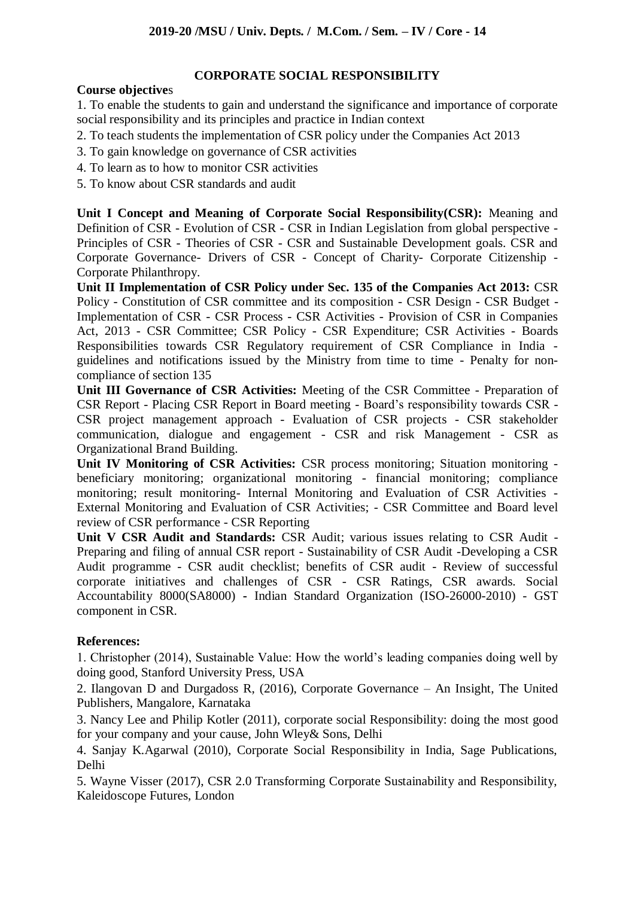# **CORPORATE SOCIAL RESPONSIBILITY**

#### **Course objective**s

1. To enable the students to gain and understand the significance and importance of corporate social responsibility and its principles and practice in Indian context

- 2. To teach students the implementation of CSR policy under the Companies Act 2013
- 3. To gain knowledge on governance of CSR activities
- 4. To learn as to how to monitor CSR activities
- 5. To know about CSR standards and audit

**Unit I Concept and Meaning of Corporate Social Responsibility(CSR):** Meaning and Definition of CSR - Evolution of CSR - CSR in Indian Legislation from global perspective - Principles of CSR - Theories of CSR - CSR and Sustainable Development goals. CSR and Corporate Governance- Drivers of CSR - Concept of Charity- Corporate Citizenship - Corporate Philanthropy.

**Unit II Implementation of CSR Policy under Sec. 135 of the Companies Act 2013:** CSR Policy - Constitution of CSR committee and its composition - CSR Design - CSR Budget - Implementation of CSR - CSR Process - CSR Activities - Provision of CSR in Companies Act, 2013 - CSR Committee; CSR Policy - CSR Expenditure; CSR Activities - Boards Responsibilities towards CSR Regulatory requirement of CSR Compliance in India guidelines and notifications issued by the Ministry from time to time - Penalty for noncompliance of section 135

**Unit III Governance of CSR Activities:** Meeting of the CSR Committee - Preparation of CSR Report - Placing CSR Report in Board meeting - Board's responsibility towards CSR - CSR project management approach - Evaluation of CSR projects - CSR stakeholder communication, dialogue and engagement - CSR and risk Management - CSR as Organizational Brand Building.

**Unit IV Monitoring of CSR Activities:** CSR process monitoring; Situation monitoring beneficiary monitoring; organizational monitoring - financial monitoring; compliance monitoring; result monitoring- Internal Monitoring and Evaluation of CSR Activities - External Monitoring and Evaluation of CSR Activities; - CSR Committee and Board level review of CSR performance - CSR Reporting

**Unit V CSR Audit and Standards:** CSR Audit; various issues relating to CSR Audit - Preparing and filing of annual CSR report - Sustainability of CSR Audit -Developing a CSR Audit programme - CSR audit checklist; benefits of CSR audit - Review of successful corporate initiatives and challenges of CSR - CSR Ratings, CSR awards. Social Accountability 8000(SA8000) **-** Indian Standard Organization (ISO-26000-2010) - GST component in CSR.

## **References:**

1. Christopher (2014), Sustainable Value: How the world's leading companies doing well by doing good, Stanford University Press, USA

2. Ilangovan D and Durgadoss R, (2016), Corporate Governance – An Insight, The United Publishers, Mangalore, Karnataka

3. Nancy Lee and Philip Kotler (2011), corporate social Responsibility: doing the most good for your company and your cause, John Wley& Sons, Delhi

4. Sanjay K.Agarwal (2010), Corporate Social Responsibility in India, Sage Publications, Delhi

5. Wayne Visser (2017), CSR 2.0 Transforming Corporate Sustainability and Responsibility, Kaleidoscope Futures, London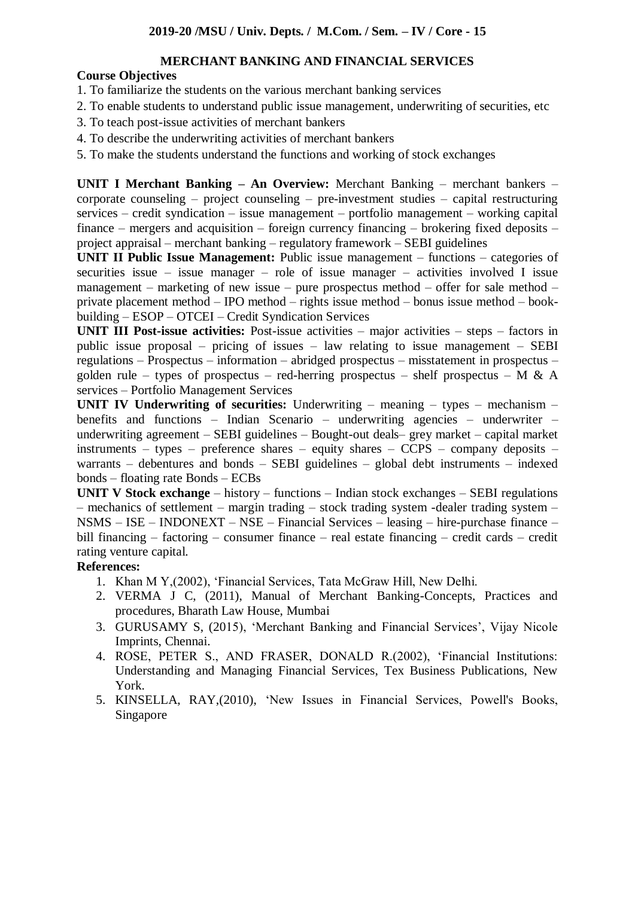## **MERCHANT BANKING AND FINANCIAL SERVICES**

# **Course Objectives**

- 1. To familiarize the students on the various merchant banking services
- 2. To enable students to understand public issue management, underwriting of securities, etc
- 3. To teach post-issue activities of merchant bankers
- 4. To describe the underwriting activities of merchant bankers
- 5. To make the students understand the functions and working of stock exchanges

**UNIT I Merchant Banking – An Overview:** Merchant Banking – merchant bankers – corporate counseling – project counseling – pre-investment studies – capital restructuring services – credit syndication – issue management – portfolio management – working capital finance – mergers and acquisition – foreign currency financing – brokering fixed deposits – project appraisal – merchant banking – regulatory framework – SEBI guidelines

**UNIT II Public Issue Management:** Public issue management – functions – categories of securities issue – issue manager – role of issue manager – activities involved I issue management – marketing of new issue – pure prospectus method – offer for sale method – private placement method – IPO method – rights issue method – bonus issue method – bookbuilding – ESOP – OTCEI – Credit Syndication Services

**UNIT III Post-issue activities:** Post-issue activities – major activities – steps – factors in public issue proposal – pricing of issues – law relating to issue management – SEBI regulations – Prospectus – information – abridged prospectus – misstatement in prospectus – golden rule – types of prospectus – red-herring prospectus – shelf prospectus – M & A services – Portfolio Management Services

**UNIT IV Underwriting of securities:** Underwriting – meaning – types – mechanism – benefits and functions – Indian Scenario – underwriting agencies – underwriter – underwriting agreement – SEBI guidelines – Bought-out deals– grey market – capital market instruments – types – preference shares – equity shares – CCPS – company deposits – warrants – debentures and bonds – SEBI guidelines – global debt instruments – indexed bonds – floating rate Bonds – ECBs

**UNIT V Stock exchange** – history – functions – Indian stock exchanges – SEBI regulations – mechanics of settlement – margin trading – stock trading system -dealer trading system – NSMS – ISE – INDONEXT – NSE – Financial Services – leasing – hire-purchase finance – bill financing – factoring – consumer finance – real estate financing – credit cards – credit rating venture capital.

## **References:**

- 1. Khan M Y,(2002), 'Financial Services, Tata McGraw Hill, New Delhi.
- 2. VERMA J C, (2011), Manual of Merchant Banking-Concepts, Practices and procedures, Bharath Law House, Mumbai
- 3. GURUSAMY S, (2015), 'Merchant Banking and Financial Services', Vijay Nicole Imprints, Chennai.
- 4. ROSE, PETER S., AND FRASER, DONALD R.(2002), 'Financial Institutions: Understanding and Managing Financial Services, Tex Business Publications, New York.
- 5. KINSELLA, RAY,(2010), 'New Issues in Financial Services, Powell's Books, Singapore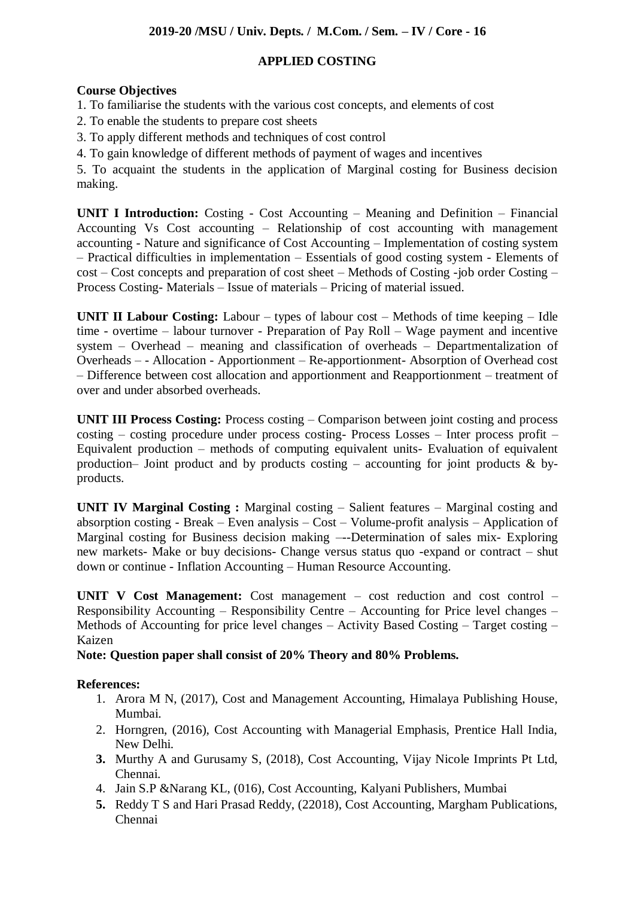# **APPLIED COSTING**

# **Course Objectives**

- 1. To familiarise the students with the various cost concepts, and elements of cost
- 2. To enable the students to prepare cost sheets
- 3. To apply different methods and techniques of cost control
- 4. To gain knowledge of different methods of payment of wages and incentives

5. To acquaint the students in the application of Marginal costing for Business decision making.

**UNIT I Introduction:** Costing - Cost Accounting – Meaning and Definition – Financial Accounting Vs Cost accounting – Relationship of cost accounting with management accounting - Nature and significance of Cost Accounting – Implementation of costing system – Practical difficulties in implementation – Essentials of good costing system - Elements of cost – Cost concepts and preparation of cost sheet – Methods of Costing -job order Costing – Process Costing- Materials – Issue of materials – Pricing of material issued.

**UNIT II Labour Costing:** Labour – types of labour cost – Methods of time keeping – Idle time - overtime – labour turnover - Preparation of Pay Roll – Wage payment and incentive system – Overhead – meaning and classification of overheads – Departmentalization of Overheads – - Allocation - Apportionment – Re-apportionment- Absorption of Overhead cost – Difference between cost allocation and apportionment and Reapportionment – treatment of over and under absorbed overheads.

**UNIT III Process Costing:** Process costing – Comparison between joint costing and process costing – costing procedure under process costing- Process Losses – Inter process profit – Equivalent production – methods of computing equivalent units- Evaluation of equivalent production– Joint product and by products costing – accounting for joint products  $\&$  byproducts.

**UNIT IV Marginal Costing :** Marginal costing – Salient features – Marginal costing and absorption costing - Break – Even analysis – Cost – Volume-profit analysis – Application of Marginal costing for Business decision making –--Determination of sales mix- Exploring new markets- Make or buy decisions- Change versus status quo -expand or contract – shut down or continue - Inflation Accounting – Human Resource Accounting.

**UNIT V Cost Management:** Cost management – cost reduction and cost control – Responsibility Accounting – Responsibility Centre – Accounting for Price level changes – Methods of Accounting for price level changes – Activity Based Costing – Target costing – Kaizen

**Note: Question paper shall consist of 20% Theory and 80% Problems.**

## **References:**

- 1. Arora M N, (2017), Cost and Management Accounting, Himalaya Publishing House, Mumbai.
- 2. Horngren, (2016), Cost Accounting with Managerial Emphasis, Prentice Hall India, New Delhi.
- **3.** Murthy A and Gurusamy S, (2018), Cost Accounting, Vijay Nicole Imprints Pt Ltd, Chennai.
- 4. Jain S.P &Narang KL, (016), Cost Accounting, Kalyani Publishers, Mumbai
- **5.** Reddy T S and Hari Prasad Reddy, (22018), Cost Accounting, Margham Publications, Chennai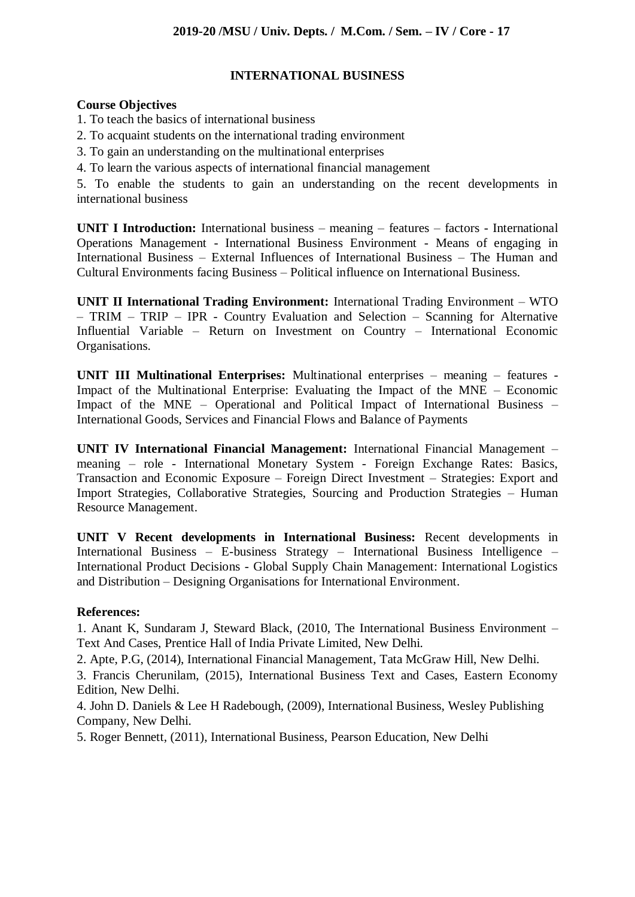## **INTERNATIONAL BUSINESS**

#### **Course Objectives**

- 1. To teach the basics of international business
- 2. To acquaint students on the international trading environment
- 3. To gain an understanding on the multinational enterprises
- 4. To learn the various aspects of international financial management

5. To enable the students to gain an understanding on the recent developments in international business

**UNIT I Introduction:** International business – meaning – features – factors - International Operations Management - International Business Environment - Means of engaging in International Business – External Influences of International Business – The Human and Cultural Environments facing Business – Political influence on International Business.

**UNIT II International Trading Environment:** International Trading Environment – WTO – TRIM – TRIP – IPR - Country Evaluation and Selection – Scanning for Alternative Influential Variable – Return on Investment on Country – International Economic Organisations.

**UNIT III Multinational Enterprises:** Multinational enterprises – meaning – features - Impact of the Multinational Enterprise: Evaluating the Impact of the MNE – Economic Impact of the MNE – Operational and Political Impact of International Business – International Goods, Services and Financial Flows and Balance of Payments

**UNIT IV International Financial Management:** International Financial Management – meaning – role - International Monetary System - Foreign Exchange Rates: Basics, Transaction and Economic Exposure – Foreign Direct Investment – Strategies: Export and Import Strategies, Collaborative Strategies, Sourcing and Production Strategies – Human Resource Management.

**UNIT V Recent developments in International Business:** Recent developments in International Business – E-business Strategy – International Business Intelligence – International Product Decisions - Global Supply Chain Management: International Logistics and Distribution – Designing Organisations for International Environment.

## **References:**

1. Anant K, Sundaram J, Steward Black, (2010, The International Business Environment – Text And Cases, Prentice Hall of India Private Limited, New Delhi.

2. Apte, P.G, (2014), International Financial Management, Tata McGraw Hill, New Delhi.

3. Francis Cherunilam, (2015), International Business Text and Cases, Eastern Economy Edition, New Delhi.

4. John D. Daniels & Lee H Radebough, (2009), International Business, Wesley Publishing Company, New Delhi.

5. Roger Bennett, (2011), International Business, Pearson Education, New Delhi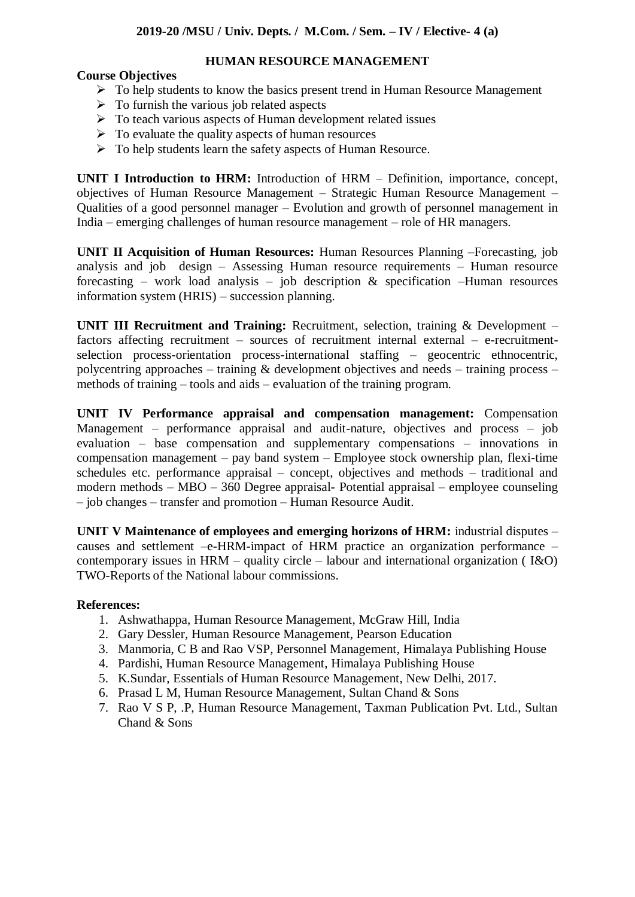#### **HUMAN RESOURCE MANAGEMENT**

## **Course Objectives**

- > To help students to know the basics present trend in Human Resource Management
- $\triangleright$  To furnish the various job related aspects
- $\triangleright$  To teach various aspects of Human development related issues
- $\triangleright$  To evaluate the quality aspects of human resources
- $\triangleright$  To help students learn the safety aspects of Human Resource.

**UNIT I Introduction to HRM:** Introduction of HRM – Definition, importance, concept, objectives of Human Resource Management – Strategic Human Resource Management – Qualities of a good personnel manager – Evolution and growth of personnel management in India – emerging challenges of human resource management – role of HR managers.

**UNIT II Acquisition of Human Resources:** Human Resources Planning –Forecasting, job analysis and job design – Assessing Human resource requirements – Human resource forecasting – work load analysis – job description  $\&$  specification –Human resources information system (HRIS) – succession planning.

**UNIT III Recruitment and Training:** Recruitment, selection, training & Development – factors affecting recruitment – sources of recruitment internal external – e-recruitmentselection process-orientation process-international staffing – geocentric ethnocentric, polycentring approaches – training  $\&$  development objectives and needs – training process – methods of training – tools and aids – evaluation of the training program.

**UNIT IV Performance appraisal and compensation management:** Compensation Management – performance appraisal and audit-nature, objectives and process – job evaluation – base compensation and supplementary compensations – innovations in compensation management – pay band system – Employee stock ownership plan, flexi-time schedules etc. performance appraisal – concept, objectives and methods – traditional and modern methods – MBO – 360 Degree appraisal- Potential appraisal – employee counseling – job changes – transfer and promotion – Human Resource Audit.

**UNIT V Maintenance of employees and emerging horizons of HRM:** industrial disputes – causes and settlement –e-HRM-impact of HRM practice an organization performance – contemporary issues in HRM – quality circle – labour and international organization ( I&O) TWO-Reports of the National labour commissions.

## **References:**

- 1. Ashwathappa, Human Resource Management, McGraw Hill, India
- 2. Gary Dessler, Human Resource Management, Pearson Education
- 3. Manmoria, C B and Rao VSP, Personnel Management, Himalaya Publishing House
- 4. Pardishi, Human Resource Management, Himalaya Publishing House
- 5. K.Sundar, Essentials of Human Resource Management, New Delhi, 2017.
- 6. Prasad L M, Human Resource Management, Sultan Chand & Sons
- 7. Rao V S P, .P, Human Resource Management, Taxman Publication Pvt. Ltd., Sultan Chand & Sons